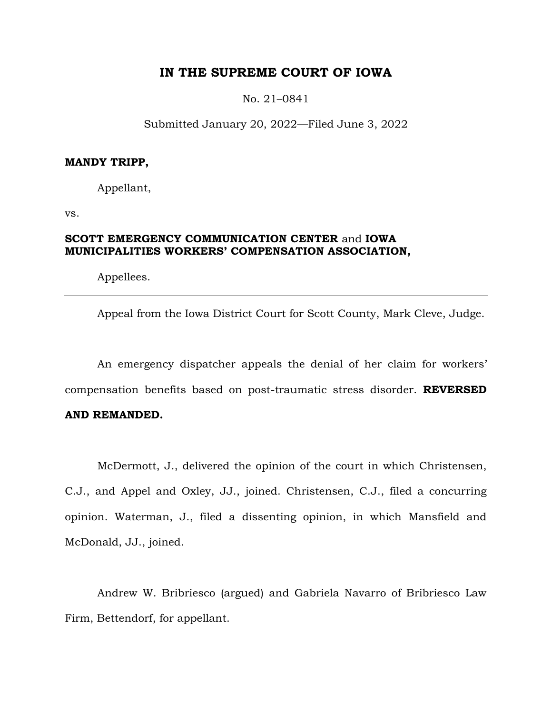# **IN THE SUPREME COURT OF IOWA**

No. 21–0841

Submitted January 20, 2022—Filed June 3, 2022

### **MANDY TRIPP,**

Appellant,

vs.

# **SCOTT EMERGENCY COMMUNICATION CENTER** and **IOWA MUNICIPALITIES WORKERS' COMPENSATION ASSOCIATION,**

Appellees.

Appeal from the Iowa District Court for Scott County, Mark Cleve, Judge.

An emergency dispatcher appeals the denial of her claim for workers' compensation benefits based on post-traumatic stress disorder. **REVERSED** 

## **AND REMANDED.**

McDermott, J., delivered the opinion of the court in which Christensen, C.J., and Appel and Oxley, JJ., joined. Christensen, C.J., filed a concurring opinion. Waterman, J., filed a dissenting opinion, in which Mansfield and McDonald, JJ., joined.

Andrew W. Bribriesco (argued) and Gabriela Navarro of Bribriesco Law Firm, Bettendorf, for appellant.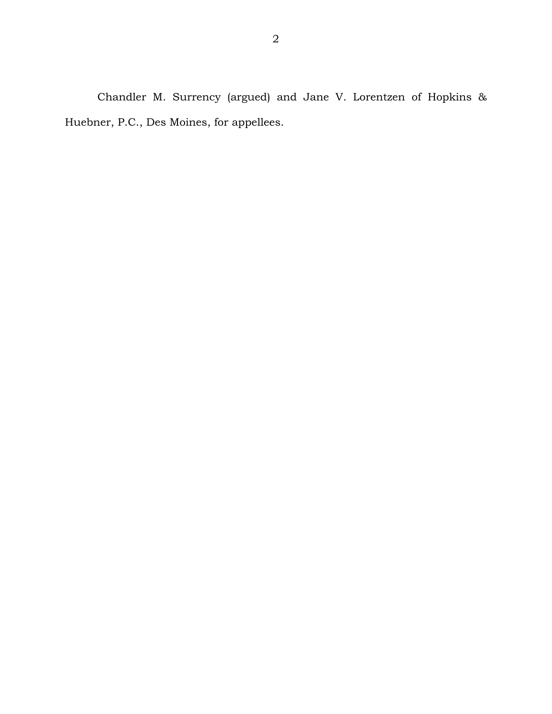Chandler M. Surrency (argued) and Jane V. Lorentzen of Hopkins & Huebner, P.C., Des Moines, for appellees.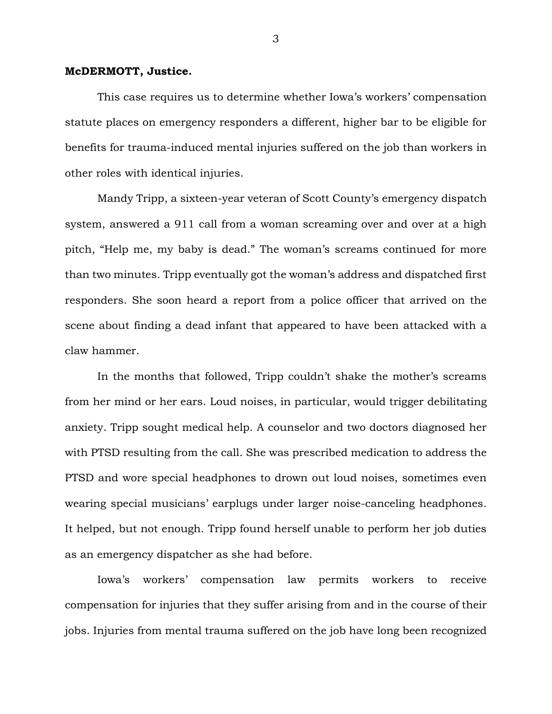### **McDERMOTT, Justice.**

This case requires us to determine whether Iowa's workers' compensation statute places on emergency responders a different, higher bar to be eligible for benefits for trauma-induced mental injuries suffered on the job than workers in other roles with identical injuries.

Mandy Tripp, a sixteen-year veteran of Scott County's emergency dispatch system, answered a 911 call from a woman screaming over and over at a high pitch, "Help me, my baby is dead." The woman's screams continued for more than two minutes. Tripp eventually got the woman's address and dispatched first responders. She soon heard a report from a police officer that arrived on the scene about finding a dead infant that appeared to have been attacked with a claw hammer.

In the months that followed, Tripp couldn't shake the mother's screams from her mind or her ears. Loud noises, in particular, would trigger debilitating anxiety. Tripp sought medical help. A counselor and two doctors diagnosed her with PTSD resulting from the call. She was prescribed medication to address the PTSD and wore special headphones to drown out loud noises, sometimes even wearing special musicians' earplugs under larger noise-canceling headphones. It helped, but not enough. Tripp found herself unable to perform her job duties as an emergency dispatcher as she had before.

Iowa's workers' compensation law permits workers to receive compensation for injuries that they suffer arising from and in the course of their jobs. Injuries from mental trauma suffered on the job have long been recognized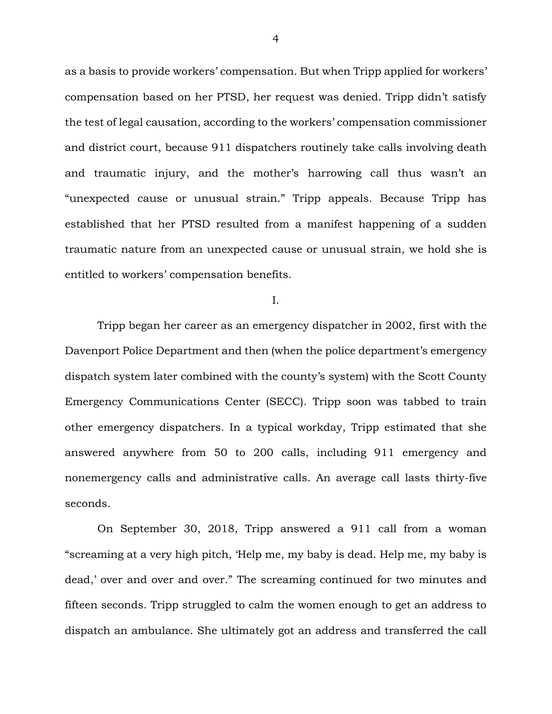as a basis to provide workers' compensation. But when Tripp applied for workers' compensation based on her PTSD, her request was denied. Tripp didn't satisfy the test of legal causation, according to the workers' compensation commissioner and district court, because 911 dispatchers routinely take calls involving death and traumatic injury, and the mother's harrowing call thus wasn't an "unexpected cause or unusual strain." Tripp appeals. Because Tripp has established that her PTSD resulted from a manifest happening of a sudden traumatic nature from an unexpected cause or unusual strain, we hold she is entitled to workers' compensation benefits.

I.

Tripp began her career as an emergency dispatcher in 2002, first with the Davenport Police Department and then (when the police department's emergency dispatch system later combined with the county's system) with the Scott County Emergency Communications Center (SECC). Tripp soon was tabbed to train other emergency dispatchers. In a typical workday, Tripp estimated that she answered anywhere from 50 to 200 calls, including 911 emergency and nonemergency calls and administrative calls. An average call lasts thirty-five seconds.

On September 30, 2018, Tripp answered a 911 call from a woman "screaming at a very high pitch, 'Help me, my baby is dead. Help me, my baby is dead,' over and over and over." The screaming continued for two minutes and fifteen seconds. Tripp struggled to calm the women enough to get an address to dispatch an ambulance. She ultimately got an address and transferred the call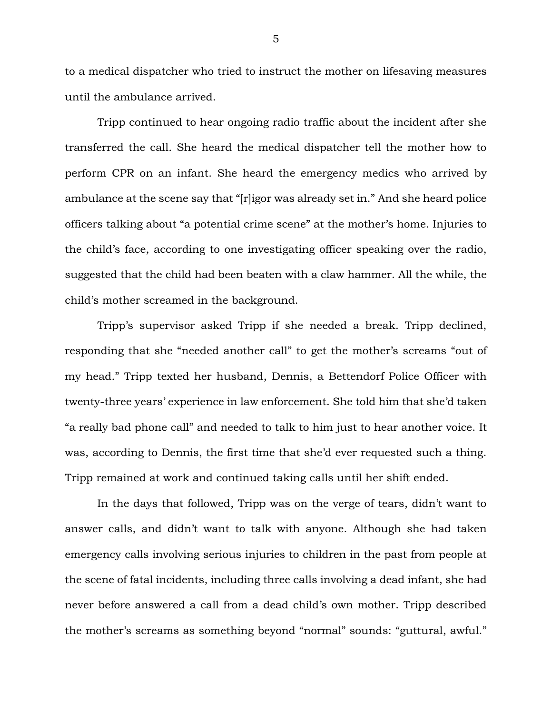to a medical dispatcher who tried to instruct the mother on lifesaving measures until the ambulance arrived.

Tripp continued to hear ongoing radio traffic about the incident after she transferred the call. She heard the medical dispatcher tell the mother how to perform CPR on an infant. She heard the emergency medics who arrived by ambulance at the scene say that "[r]igor was already set in." And she heard police officers talking about "a potential crime scene" at the mother's home. Injuries to the child's face, according to one investigating officer speaking over the radio, suggested that the child had been beaten with a claw hammer. All the while, the child's mother screamed in the background.

Tripp's supervisor asked Tripp if she needed a break. Tripp declined, responding that she "needed another call" to get the mother's screams "out of my head." Tripp texted her husband, Dennis, a Bettendorf Police Officer with twenty-three years' experience in law enforcement. She told him that she'd taken "a really bad phone call" and needed to talk to him just to hear another voice. It was, according to Dennis, the first time that she'd ever requested such a thing. Tripp remained at work and continued taking calls until her shift ended.

In the days that followed, Tripp was on the verge of tears, didn't want to answer calls, and didn't want to talk with anyone. Although she had taken emergency calls involving serious injuries to children in the past from people at the scene of fatal incidents, including three calls involving a dead infant, she had never before answered a call from a dead child's own mother. Tripp described the mother's screams as something beyond "normal" sounds: "guttural, awful."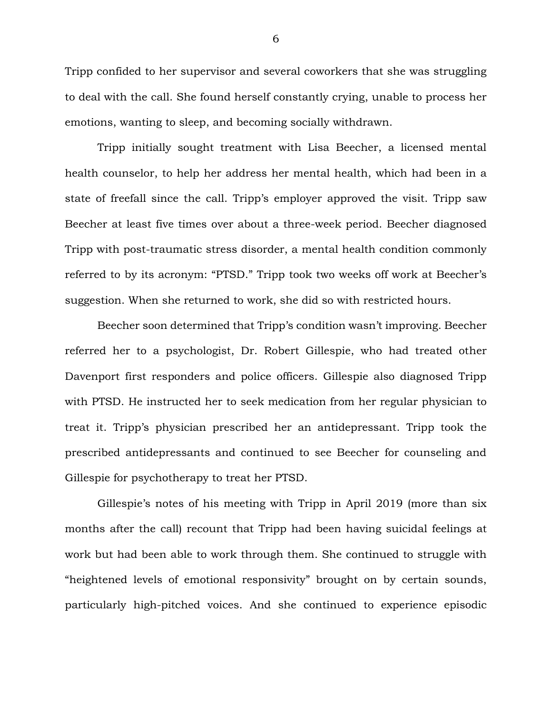Tripp confided to her supervisor and several coworkers that she was struggling to deal with the call. She found herself constantly crying, unable to process her emotions, wanting to sleep, and becoming socially withdrawn.

Tripp initially sought treatment with Lisa Beecher, a licensed mental health counselor, to help her address her mental health, which had been in a state of freefall since the call. Tripp's employer approved the visit. Tripp saw Beecher at least five times over about a three-week period. Beecher diagnosed Tripp with post-traumatic stress disorder, a mental health condition commonly referred to by its acronym: "PTSD." Tripp took two weeks off work at Beecher's suggestion. When she returned to work, she did so with restricted hours.

Beecher soon determined that Tripp's condition wasn't improving. Beecher referred her to a psychologist, Dr. Robert Gillespie, who had treated other Davenport first responders and police officers. Gillespie also diagnosed Tripp with PTSD. He instructed her to seek medication from her regular physician to treat it. Tripp's physician prescribed her an antidepressant. Tripp took the prescribed antidepressants and continued to see Beecher for counseling and Gillespie for psychotherapy to treat her PTSD.

Gillespie's notes of his meeting with Tripp in April 2019 (more than six months after the call) recount that Tripp had been having suicidal feelings at work but had been able to work through them. She continued to struggle with "heightened levels of emotional responsivity" brought on by certain sounds, particularly high-pitched voices. And she continued to experience episodic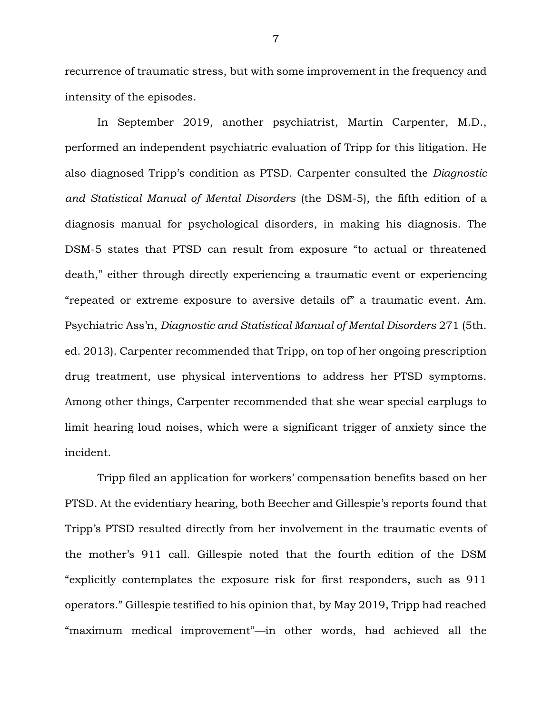recurrence of traumatic stress, but with some improvement in the frequency and intensity of the episodes.

In September 2019, another psychiatrist, Martin Carpenter, M.D., performed an independent psychiatric evaluation of Tripp for this litigation. He also diagnosed Tripp's condition as PTSD. Carpenter consulted the *Diagnostic and Statistical Manual of Mental Disorders* (the DSM-5), the fifth edition of a diagnosis manual for psychological disorders, in making his diagnosis. The DSM-5 states that PTSD can result from exposure "to actual or threatened death," either through directly experiencing a traumatic event or experiencing "repeated or extreme exposure to aversive details of" a traumatic event. Am. Psychiatric Ass'n, *Diagnostic and Statistical Manual of Mental Disorders* 271 (5th. ed. 2013). Carpenter recommended that Tripp, on top of her ongoing prescription drug treatment, use physical interventions to address her PTSD symptoms. Among other things, Carpenter recommended that she wear special earplugs to limit hearing loud noises, which were a significant trigger of anxiety since the incident.

Tripp filed an application for workers' compensation benefits based on her PTSD. At the evidentiary hearing, both Beecher and Gillespie's reports found that Tripp's PTSD resulted directly from her involvement in the traumatic events of the mother's 911 call. Gillespie noted that the fourth edition of the DSM "explicitly contemplates the exposure risk for first responders, such as 911 operators." Gillespie testified to his opinion that, by May 2019, Tripp had reached "maximum medical improvement"—in other words, had achieved all the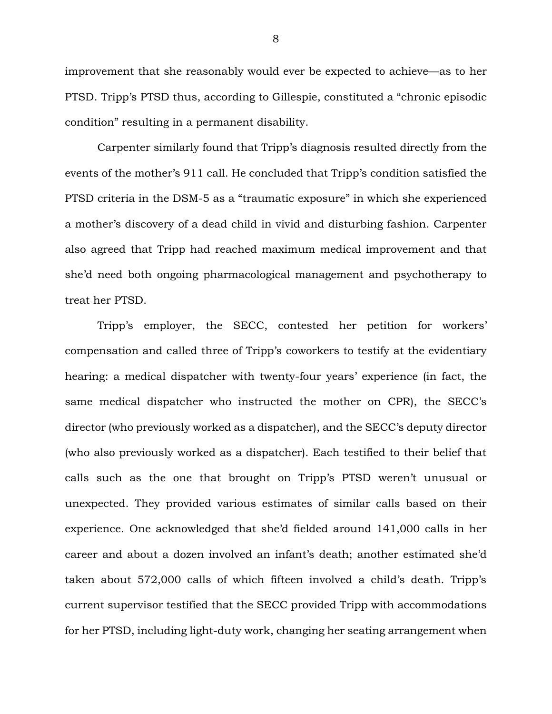improvement that she reasonably would ever be expected to achieve—as to her PTSD. Tripp's PTSD thus, according to Gillespie, constituted a "chronic episodic condition" resulting in a permanent disability.

Carpenter similarly found that Tripp's diagnosis resulted directly from the events of the mother's 911 call. He concluded that Tripp's condition satisfied the PTSD criteria in the DSM-5 as a "traumatic exposure" in which she experienced a mother's discovery of a dead child in vivid and disturbing fashion. Carpenter also agreed that Tripp had reached maximum medical improvement and that she'd need both ongoing pharmacological management and psychotherapy to treat her PTSD.

Tripp's employer, the SECC, contested her petition for workers' compensation and called three of Tripp's coworkers to testify at the evidentiary hearing: a medical dispatcher with twenty-four years' experience (in fact, the same medical dispatcher who instructed the mother on CPR), the SECC's director (who previously worked as a dispatcher), and the SECC's deputy director (who also previously worked as a dispatcher). Each testified to their belief that calls such as the one that brought on Tripp's PTSD weren't unusual or unexpected. They provided various estimates of similar calls based on their experience. One acknowledged that she'd fielded around 141,000 calls in her career and about a dozen involved an infant's death; another estimated she'd taken about 572,000 calls of which fifteen involved a child's death. Tripp's current supervisor testified that the SECC provided Tripp with accommodations for her PTSD, including light-duty work, changing her seating arrangement when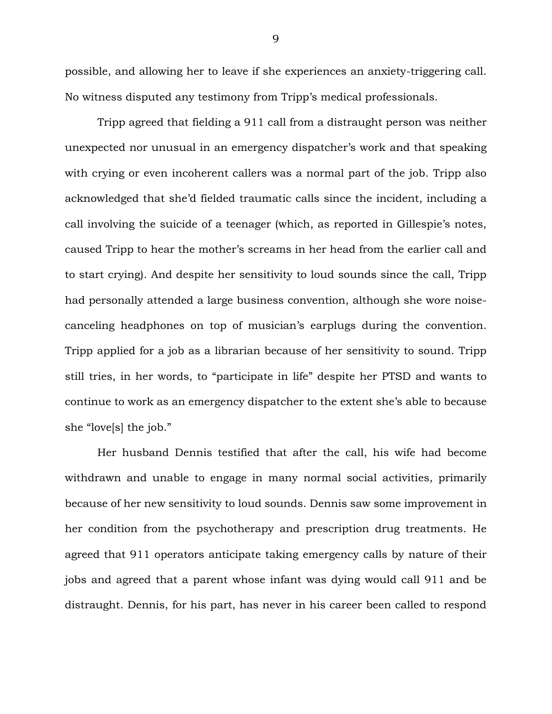possible, and allowing her to leave if she experiences an anxiety-triggering call. No witness disputed any testimony from Tripp's medical professionals.

Tripp agreed that fielding a 911 call from a distraught person was neither unexpected nor unusual in an emergency dispatcher's work and that speaking with crying or even incoherent callers was a normal part of the job. Tripp also acknowledged that she'd fielded traumatic calls since the incident, including a call involving the suicide of a teenager (which, as reported in Gillespie's notes, caused Tripp to hear the mother's screams in her head from the earlier call and to start crying). And despite her sensitivity to loud sounds since the call, Tripp had personally attended a large business convention, although she wore noisecanceling headphones on top of musician's earplugs during the convention. Tripp applied for a job as a librarian because of her sensitivity to sound. Tripp still tries, in her words, to "participate in life" despite her PTSD and wants to continue to work as an emergency dispatcher to the extent she's able to because she "love[s] the job."

Her husband Dennis testified that after the call, his wife had become withdrawn and unable to engage in many normal social activities, primarily because of her new sensitivity to loud sounds. Dennis saw some improvement in her condition from the psychotherapy and prescription drug treatments. He agreed that 911 operators anticipate taking emergency calls by nature of their jobs and agreed that a parent whose infant was dying would call 911 and be distraught. Dennis, for his part, has never in his career been called to respond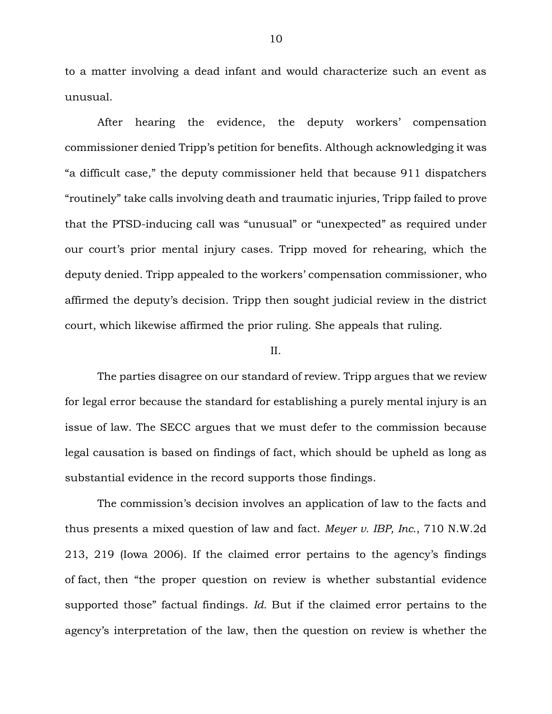to a matter involving a dead infant and would characterize such an event as unusual.

After hearing the evidence, the deputy workers' compensation commissioner denied Tripp's petition for benefits. Although acknowledging it was "a difficult case," the deputy commissioner held that because 911 dispatchers "routinely" take calls involving death and traumatic injuries, Tripp failed to prove that the PTSD-inducing call was "unusual" or "unexpected" as required under our court's prior mental injury cases. Tripp moved for rehearing, which the deputy denied. Tripp appealed to the workers' compensation commissioner, who affirmed the deputy's decision. Tripp then sought judicial review in the district court, which likewise affirmed the prior ruling. She appeals that ruling.

### II.

The parties disagree on our standard of review. Tripp argues that we review for legal error because the standard for establishing a purely mental injury is an issue of law. The SECC argues that we must defer to the commission because legal causation is based on findings of fact, which should be upheld as long as substantial evidence in the record supports those findings.

The commission's decision involves an application of law to the facts and thus presents a mixed question of law and fact. *Meyer v. IBP, Inc.*, 710 N.W.2d 213, 219 (Iowa 2006). If the claimed error pertains to the agency's findings of fact, then "the proper question on review is whether substantial evidence supported those" factual findings. *Id.* But if the claimed error pertains to the agency's interpretation of the law, then the question on review is whether the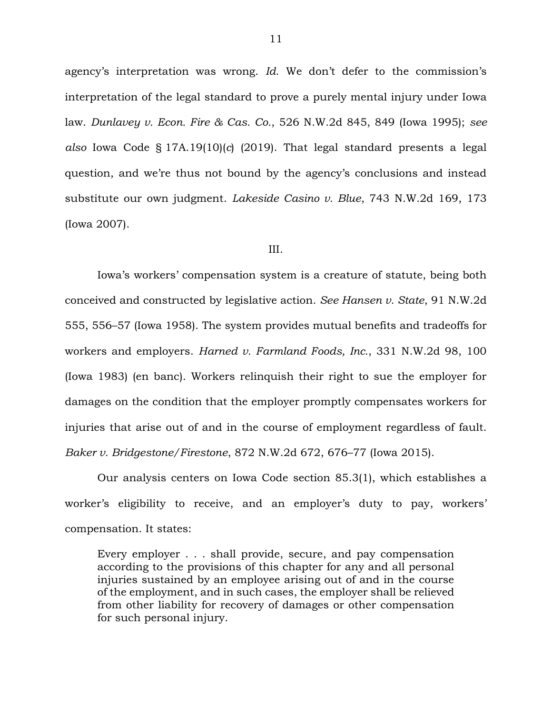agency's interpretation was wrong. *Id.* We don't defer to the commission's interpretation of the legal standard to prove a purely mental injury under Iowa law. *Dunlavey v. Econ. Fire & Cas. Co.*, 526 N.W.2d 845, 849 (Iowa 1995); *see also* Iowa Code § 17A.19(10)(*c*) (2019). That legal standard presents a legal question, and we're thus not bound by the agency's conclusions and instead substitute our own judgment. *Lakeside Casino v. Blue*, 743 N.W.2d 169, 173 (Iowa 2007).

#### III.

Iowa's workers' compensation system is a creature of statute, being both conceived and constructed by legislative action. *See Hansen v. State*, 91 N.W.2d 555, 556–57 (Iowa 1958). The system provides mutual benefits and tradeoffs for workers and employers. *Harned v. Farmland Foods, Inc.*, 331 N.W.2d 98, 100 (Iowa 1983) (en banc). Workers relinquish their right to sue the employer for damages on the condition that the employer promptly compensates workers for injuries that arise out of and in the course of employment regardless of fault. *Baker v. Bridgestone/Firestone*, 872 N.W.2d 672, 676–77 (Iowa 2015).

Our analysis centers on Iowa Code section 85.3(1), which establishes a worker's eligibility to receive, and an employer's duty to pay, workers' compensation. It states:

Every employer . . . shall provide, secure, and pay compensation according to the provisions of this chapter for any and all personal injuries sustained by an employee arising out of and in the course of the employment, and in such cases, the employer shall be relieved from other liability for recovery of damages or other compensation for such personal injury.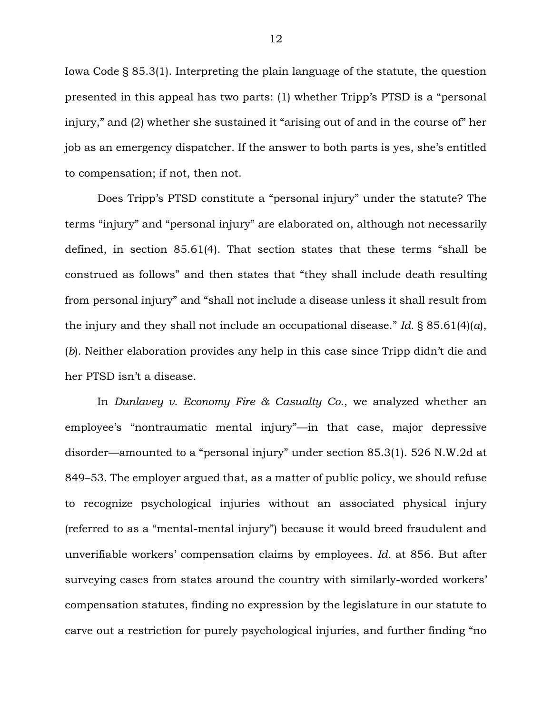Iowa Code § 85.3(1). Interpreting the plain language of the statute, the question presented in this appeal has two parts: (1) whether Tripp's PTSD is a "personal injury," and (2) whether she sustained it "arising out of and in the course of" her job as an emergency dispatcher. If the answer to both parts is yes, she's entitled to compensation; if not, then not.

Does Tripp's PTSD constitute a "personal injury" under the statute? The terms "injury" and "personal injury" are elaborated on, although not necessarily defined, in section 85.61(4). That section states that these terms "shall be construed as follows" and then states that "they shall include death resulting from personal injury" and "shall not include a disease unless it shall result from the injury and they shall not include an occupational disease." *Id.* § 85.61(4)(*a*), (*b*). Neither elaboration provides any help in this case since Tripp didn't die and her PTSD isn't a disease.

In *Dunlavey v. Economy Fire & Casualty Co.*, we analyzed whether an employee's "nontraumatic mental injury"—in that case, major depressive disorder—amounted to a "personal injury" under section 85.3(1). 526 N.W.2d at 849–53. The employer argued that, as a matter of public policy, we should refuse to recognize psychological injuries without an associated physical injury (referred to as a "mental-mental injury") because it would breed fraudulent and unverifiable workers' compensation claims by employees. *Id.* at 856. But after surveying cases from states around the country with similarly-worded workers' compensation statutes, finding no expression by the legislature in our statute to carve out a restriction for purely psychological injuries, and further finding "no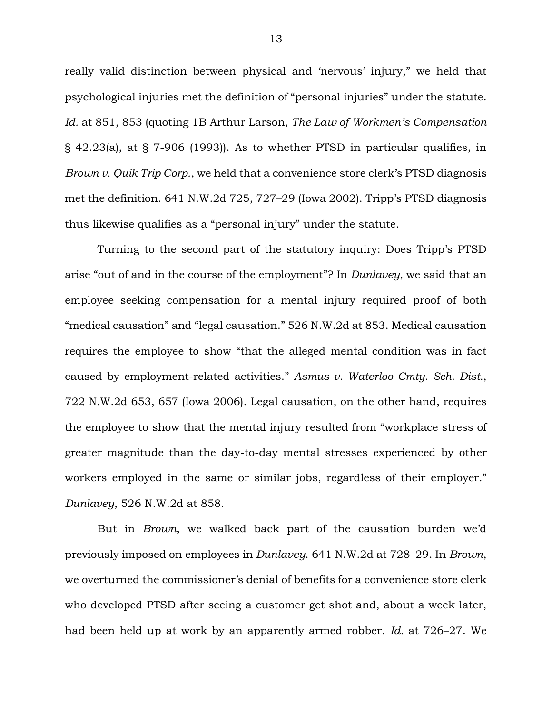really valid distinction between physical and 'nervous' injury," we held that psychological injuries met the definition of "personal injuries" under the statute. *Id.* at 851, 853 (quoting 1B Arthur Larson, *The Law of Workmen's Compensation* § 42.23(a), at § 7-906 (1993)). As to whether PTSD in particular qualifies, in *Brown v. Quik Trip Corp.*, we held that a convenience store clerk's PTSD diagnosis met the definition. 641 N.W.2d 725, 727–29 (Iowa 2002). Tripp's PTSD diagnosis thus likewise qualifies as a "personal injury" under the statute.

Turning to the second part of the statutory inquiry: Does Tripp's PTSD arise "out of and in the course of the employment"? In *Dunlavey*, we said that an employee seeking compensation for a mental injury required proof of both "medical causation" and "legal causation." 526 N.W.2d at 853. Medical causation requires the employee to show "that the alleged mental condition was in fact caused by employment-related activities." *Asmus v. Waterloo Cmty. Sch. Dist.*, 722 N.W.2d 653, 657 (Iowa 2006). Legal causation, on the other hand, requires the employee to show that the mental injury resulted from "workplace stress of greater magnitude than the day-to-day mental stresses experienced by other workers employed in the same or similar jobs, regardless of their employer." *Dunlavey*, 526 N.W.2d at 858.

But in *Brown*, we walked back part of the causation burden we'd previously imposed on employees in *Dunlavey*. 641 N.W.2d at 728–29. In *Brown*, we overturned the commissioner's denial of benefits for a convenience store clerk who developed PTSD after seeing a customer get shot and, about a week later, had been held up at work by an apparently armed robber. *Id.* at 726–27. We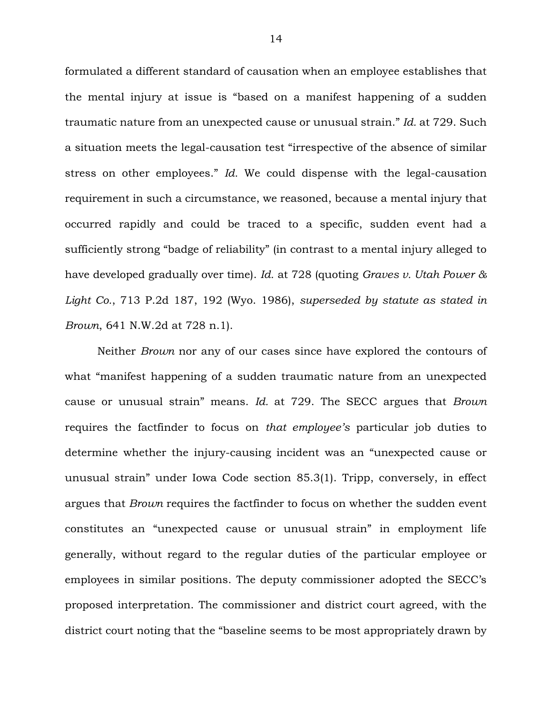formulated a different standard of causation when an employee establishes that the mental injury at issue is "based on a manifest happening of a sudden traumatic nature from an unexpected cause or unusual strain." *Id.* at 729. Such a situation meets the legal-causation test "irrespective of the absence of similar stress on other employees." *Id.* We could dispense with the legal-causation requirement in such a circumstance, we reasoned, because a mental injury that occurred rapidly and could be traced to a specific, sudden event had a sufficiently strong "badge of reliability" (in contrast to a mental injury alleged to have developed gradually over time). *Id.* at 728 (quoting *Graves v. Utah Power & Light Co.*, 713 P.2d 187, 192 (Wyo. 1986), *superseded by statute as stated in Brown*, 641 N.W.2d at 728 n.1).

Neither *Brown* nor any of our cases since have explored the contours of what "manifest happening of a sudden traumatic nature from an unexpected cause or unusual strain" means. *Id.* at 729. The SECC argues that *Brown* requires the factfinder to focus on *that employee's* particular job duties to determine whether the injury-causing incident was an "unexpected cause or unusual strain" under Iowa Code section 85.3(1). Tripp, conversely, in effect argues that *Brown* requires the factfinder to focus on whether the sudden event constitutes an "unexpected cause or unusual strain" in employment life generally, without regard to the regular duties of the particular employee or employees in similar positions. The deputy commissioner adopted the SECC's proposed interpretation. The commissioner and district court agreed, with the district court noting that the "baseline seems to be most appropriately drawn by

14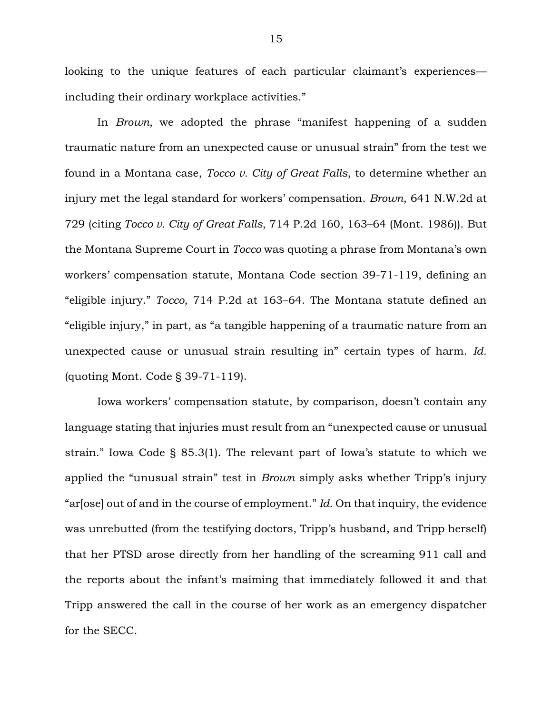looking to the unique features of each particular claimant's experiences including their ordinary workplace activities."

In *Brown*, we adopted the phrase "manifest happening of a sudden traumatic nature from an unexpected cause or unusual strain" from the test we found in a Montana case, *Tocco v. City of Great Falls*, to determine whether an injury met the legal standard for workers' compensation. *Brown*, 641 N.W.2d at 729 (citing *Tocco v. City of Great Falls*, 714 P.2d 160, 163–64 (Mont. 1986)). But the Montana Supreme Court in *Tocco* was quoting a phrase from Montana's own workers' compensation statute, Montana Code section 39-71-119, defining an "eligible injury." *Tocco*, 714 P.2d at 163–64. The Montana statute defined an "eligible injury," in part, as "a tangible happening of a traumatic nature from an unexpected cause or unusual strain resulting in" certain types of harm. *Id.* (quoting Mont. Code § 39-71-119).

Iowa workers' compensation statute, by comparison, doesn't contain any language stating that injuries must result from an "unexpected cause or unusual strain." Iowa Code § 85.3(1). The relevant part of Iowa's statute to which we applied the "unusual strain" test in *Brown* simply asks whether Tripp's injury "ar[ose] out of and in the course of employment." *Id.* On that inquiry, the evidence was unrebutted (from the testifying doctors, Tripp's husband, and Tripp herself) that her PTSD arose directly from her handling of the screaming 911 call and the reports about the infant's maiming that immediately followed it and that Tripp answered the call in the course of her work as an emergency dispatcher for the SECC.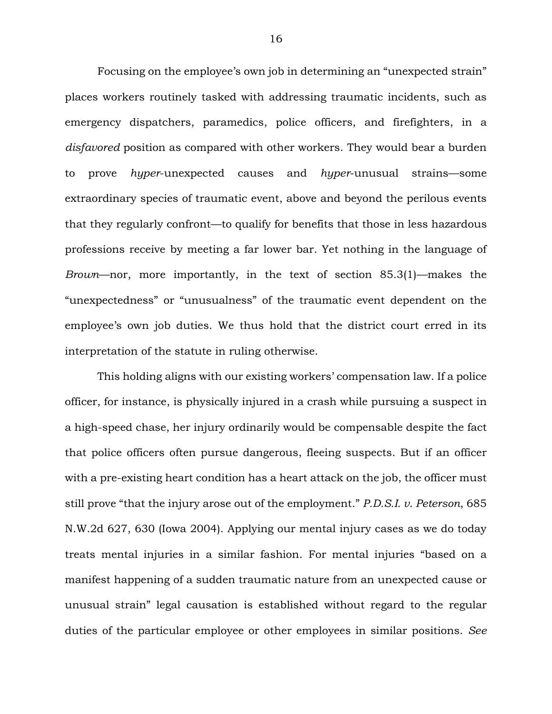Focusing on the employee's own job in determining an "unexpected strain" places workers routinely tasked with addressing traumatic incidents, such as emergency dispatchers, paramedics, police officers, and firefighters, in a *disfavored* position as compared with other workers. They would bear a burden to prove *hyper*-unexpected causes and *hyper*-unusual strains—some extraordinary species of traumatic event, above and beyond the perilous events that they regularly confront—to qualify for benefits that those in less hazardous professions receive by meeting a far lower bar. Yet nothing in the language of *Brown*—nor, more importantly, in the text of section 85.3(1)—makes the "unexpectedness" or "unusualness" of the traumatic event dependent on the employee's own job duties. We thus hold that the district court erred in its interpretation of the statute in ruling otherwise.

This holding aligns with our existing workers' compensation law. If a police officer, for instance, is physically injured in a crash while pursuing a suspect in a high-speed chase, her injury ordinarily would be compensable despite the fact that police officers often pursue dangerous, fleeing suspects. But if an officer with a pre-existing heart condition has a heart attack on the job, the officer must still prove "that the injury arose out of the employment." *P.D.S.I. v. Peterson*, 685 N.W.2d 627, 630 (Iowa 2004). Applying our mental injury cases as we do today treats mental injuries in a similar fashion. For mental injuries "based on a manifest happening of a sudden traumatic nature from an unexpected cause or unusual strain" legal causation is established without regard to the regular duties of the particular employee or other employees in similar positions. *See*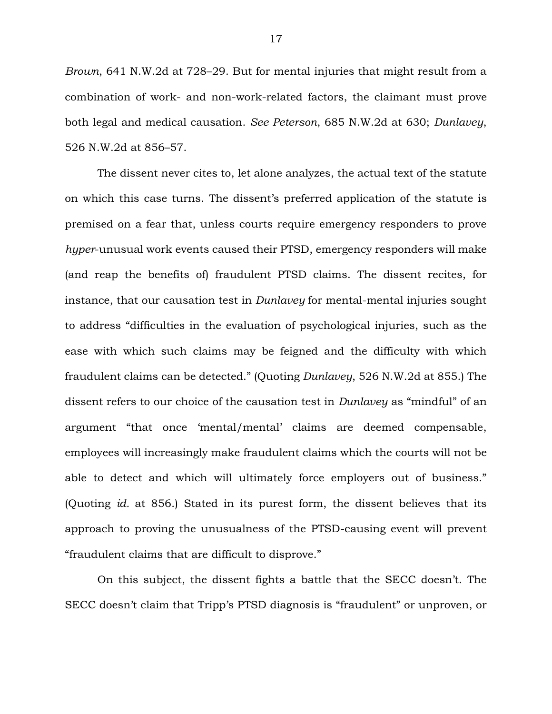*Brown*, 641 N.W.2d at 728–29. But for mental injuries that might result from a combination of work- and non-work-related factors, the claimant must prove both legal and medical causation. *See Peterson*, 685 N.W.2d at 630; *Dunlavey*, 526 N.W.2d at 856–57.

The dissent never cites to, let alone analyzes, the actual text of the statute on which this case turns. The dissent's preferred application of the statute is premised on a fear that, unless courts require emergency responders to prove *hyper*-unusual work events caused their PTSD, emergency responders will make (and reap the benefits of) fraudulent PTSD claims. The dissent recites, for instance, that our causation test in *Dunlavey* for mental-mental injuries sought to address "difficulties in the evaluation of psychological injuries, such as the ease with which such claims may be feigned and the difficulty with which fraudulent claims can be detected." (Quoting *Dunlavey*, 526 N.W.2d at 855.) The dissent refers to our choice of the causation test in *Dunlavey* as "mindful" of an argument "that once 'mental/mental' claims are deemed compensable, employees will increasingly make fraudulent claims which the courts will not be able to detect and which will ultimately force employers out of business." (Quoting *id.* at 856.) Stated in its purest form, the dissent believes that its approach to proving the unusualness of the PTSD-causing event will prevent "fraudulent claims that are difficult to disprove."

On this subject, the dissent fights a battle that the SECC doesn't. The SECC doesn't claim that Tripp's PTSD diagnosis is "fraudulent" or unproven, or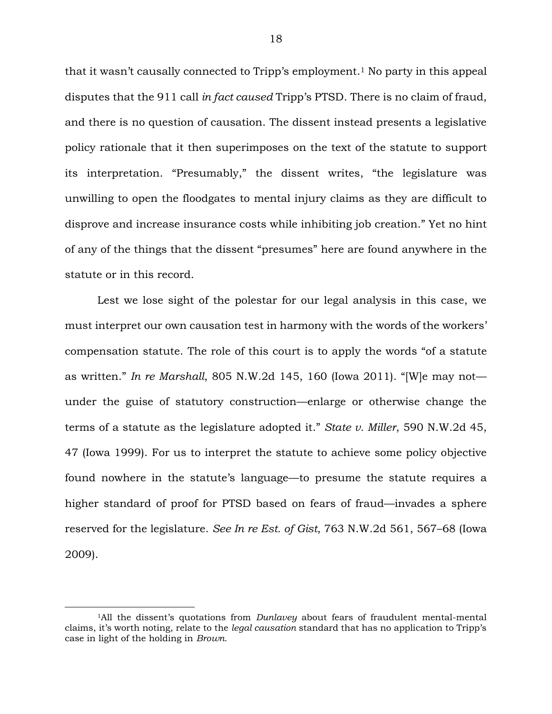that it wasn't causally connected to Tripp's employment.<sup>1</sup> No party in this appeal disputes that the 911 call *in fact caused* Tripp's PTSD. There is no claim of fraud, and there is no question of causation. The dissent instead presents a legislative policy rationale that it then superimposes on the text of the statute to support its interpretation. "Presumably," the dissent writes, "the legislature was unwilling to open the floodgates to mental injury claims as they are difficult to disprove and increase insurance costs while inhibiting job creation." Yet no hint of any of the things that the dissent "presumes" here are found anywhere in the statute or in this record.

Lest we lose sight of the polestar for our legal analysis in this case, we must interpret our own causation test in harmony with the words of the workers' compensation statute. The role of this court is to apply the words "of a statute as written." *In re Marshall*, 805 N.W.2d 145, 160 (Iowa 2011). "[W]e may not under the guise of statutory construction—enlarge or otherwise change the terms of a statute as the legislature adopted it." *State v. Miller*, 590 N.W.2d 45, 47 (Iowa 1999). For us to interpret the statute to achieve some policy objective found nowhere in the statute's language—to presume the statute requires a higher standard of proof for PTSD based on fears of fraud—invades a sphere reserved for the legislature. *See In re Est. of Gist*, 763 N.W.2d 561, 567–68 (Iowa 2009).

 $\overline{a}$ 

<sup>1</sup>All the dissent's quotations from *Dunlavey* about fears of fraudulent mental-mental claims, it's worth noting, relate to the *legal causation* standard that has no application to Tripp's case in light of the holding in *Brown*.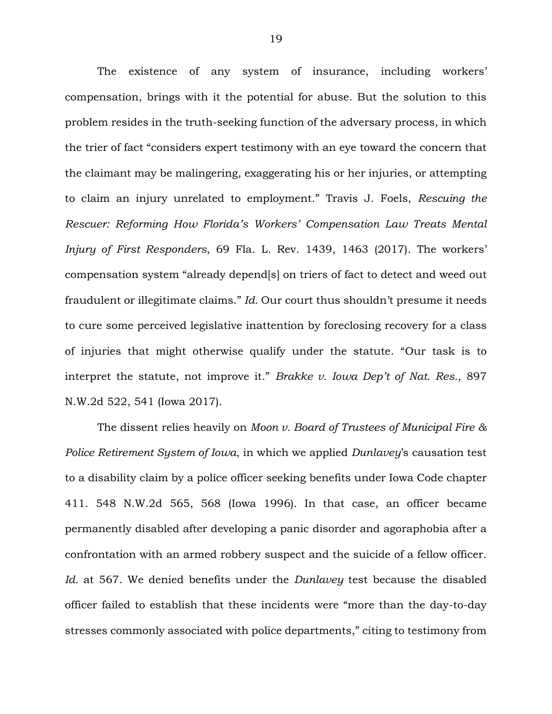The existence of any system of insurance, including workers' compensation, brings with it the potential for abuse. But the solution to this problem resides in the truth-seeking function of the adversary process, in which the trier of fact "considers expert testimony with an eye toward the concern that the claimant may be malingering, exaggerating his or her injuries, or attempting to claim an injury unrelated to employment." Travis J. Foels, *Rescuing the Rescuer: Reforming How Florida's Workers' Compensation Law Treats Mental Injury of First Responders*, 69 Fla. L. Rev. 1439, 1463 (2017). The workers' compensation system "already depend[s] on triers of fact to detect and weed out fraudulent or illegitimate claims." *Id.* Our court thus shouldn't presume it needs to cure some perceived legislative inattention by foreclosing recovery for a class of injuries that might otherwise qualify under the statute. "Our task is to interpret the statute, not improve it." *Brakke v. Iowa Dep't of Nat. Res.*, 897 N.W.2d 522, 541 (Iowa 2017).

The dissent relies heavily on *Moon v. Board of Trustees of Municipal Fire & Police Retirement System of Iowa*, in which we applied *Dunlavey*'s causation test to a disability claim by a police officer seeking benefits under Iowa Code chapter 411. 548 N.W.2d 565, 568 (Iowa 1996). In that case, an officer became permanently disabled after developing a panic disorder and agoraphobia after a confrontation with an armed robbery suspect and the suicide of a fellow officer. *Id.* at 567. We denied benefits under the *Dunlavey* test because the disabled officer failed to establish that these incidents were "more than the day-to-day stresses commonly associated with police departments," citing to testimony from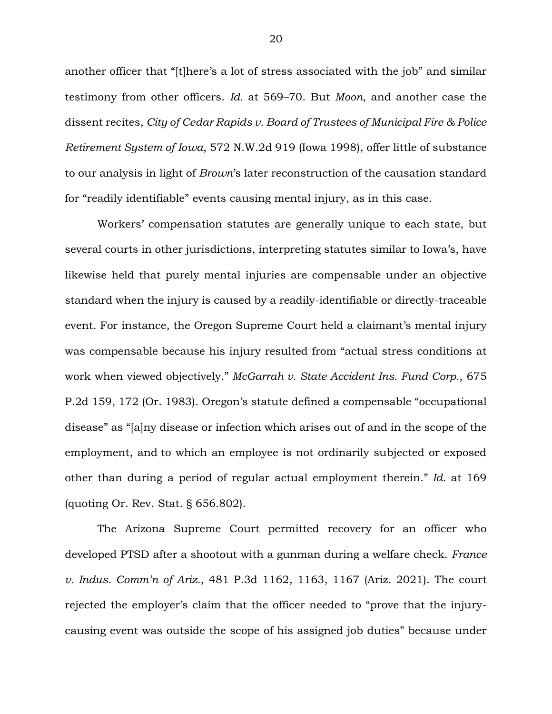another officer that "[t]here's a lot of stress associated with the job" and similar testimony from other officers. *Id.* at 569–70. But *Moon*, and another case the dissent recites, *City of Cedar Rapids v. Board of Trustees of Municipal Fire & Police Retirement System of Iowa*, 572 N.W.2d 919 (Iowa 1998), offer little of substance to our analysis in light of *Brown*'s later reconstruction of the causation standard for "readily identifiable" events causing mental injury, as in this case.

Workers' compensation statutes are generally unique to each state, but several courts in other jurisdictions, interpreting statutes similar to Iowa's, have likewise held that purely mental injuries are compensable under an objective standard when the injury is caused by a readily-identifiable or directly-traceable event. For instance, the Oregon Supreme Court held a claimant's mental injury was compensable because his injury resulted from "actual stress conditions at work when viewed objectively." *McGarrah v. State Accident Ins. Fund Corp.*, 675 P.2d 159, 172 (Or. 1983). Oregon's statute defined a compensable "occupational disease" as "[a]ny disease or infection which arises out of and in the scope of the employment, and to which an employee is not ordinarily subjected or exposed other than during a period of regular actual employment therein." *Id.* at 169 (quoting Or. Rev. Stat. § 656.802).

The Arizona Supreme Court permitted recovery for an officer who developed PTSD after a shootout with a gunman during a welfare check. *France v. Indus. Comm'n of Ariz.*, 481 P.3d 1162, 1163, 1167 (Ariz. 2021). The court rejected the employer's claim that the officer needed to "prove that the injurycausing event was outside the scope of his assigned job duties" because under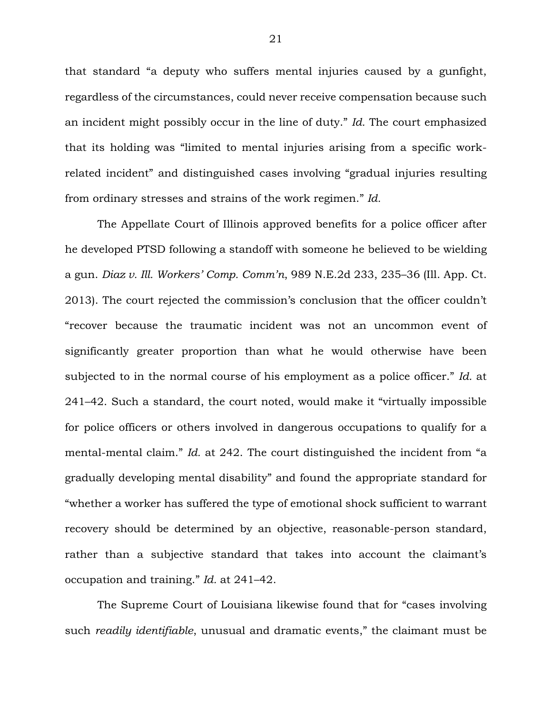that standard "a deputy who suffers mental injuries caused by a gunfight, regardless of the circumstances, could never receive compensation because such an incident might possibly occur in the line of duty." *Id.* The court emphasized that its holding was "limited to mental injuries arising from a specific workrelated incident" and distinguished cases involving "gradual injuries resulting from ordinary stresses and strains of the work regimen." *Id.*

The Appellate Court of Illinois approved benefits for a police officer after he developed PTSD following a standoff with someone he believed to be wielding a gun. *Diaz v. Ill. Workers' Comp. Comm'n*, 989 N.E.2d 233, 235–36 (Ill. App. Ct. 2013). The court rejected the commission's conclusion that the officer couldn't "recover because the traumatic incident was not an uncommon event of significantly greater proportion than what he would otherwise have been subjected to in the normal course of his employment as a police officer." *Id.* at 241–42. Such a standard, the court noted, would make it "virtually impossible for police officers or others involved in dangerous occupations to qualify for a mental-mental claim." *Id.* at 242. The court distinguished the incident from "a gradually developing mental disability" and found the appropriate standard for "whether a worker has suffered the type of emotional shock sufficient to warrant recovery should be determined by an objective, reasonable-person standard, rather than a subjective standard that takes into account the claimant's occupation and training." *Id.* at 241–42.

The Supreme Court of Louisiana likewise found that for "cases involving such *readily identifiable*, unusual and dramatic events," the claimant must be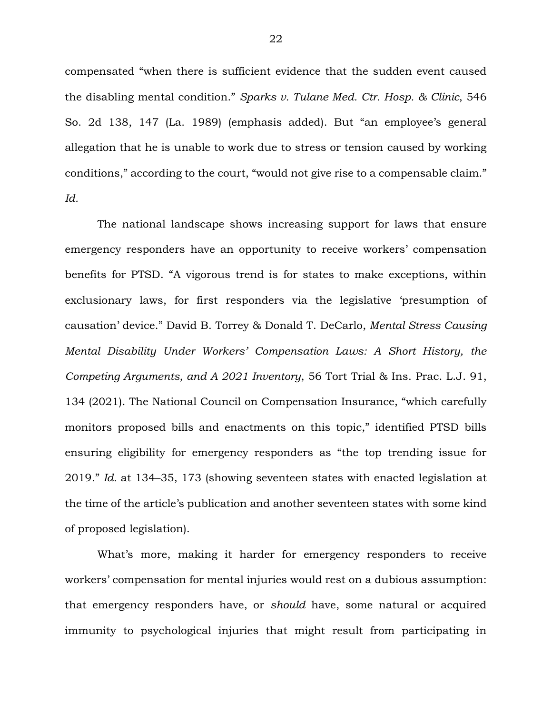compensated "when there is sufficient evidence that the sudden event caused the disabling mental condition." *Sparks v. Tulane Med. Ctr. Hosp. & Clinic*, 546 So. 2d 138, 147 (La. 1989) (emphasis added). But "an employee's general allegation that he is unable to work due to stress or tension caused by working conditions," according to the court, "would not give rise to a compensable claim." *Id.*

The national landscape shows increasing support for laws that ensure emergency responders have an opportunity to receive workers' compensation benefits for PTSD. "A vigorous trend is for states to make exceptions, within exclusionary laws, for first responders via the legislative 'presumption of causation' device." David B. Torrey & Donald T. DeCarlo, *Mental Stress Causing Mental Disability Under Workers' Compensation Laws: A Short History, the Competing Arguments, and A 2021 Inventory*, 56 Tort Trial & Ins. Prac. L.J. 91, 134 (2021). The National Council on Compensation Insurance, "which carefully monitors proposed bills and enactments on this topic," identified PTSD bills ensuring eligibility for emergency responders as "the top trending issue for 2019." *Id.* at 134–35, 173 (showing seventeen states with enacted legislation at the time of the article's publication and another seventeen states with some kind of proposed legislation).

What's more, making it harder for emergency responders to receive workers' compensation for mental injuries would rest on a dubious assumption: that emergency responders have, or *should* have, some natural or acquired immunity to psychological injuries that might result from participating in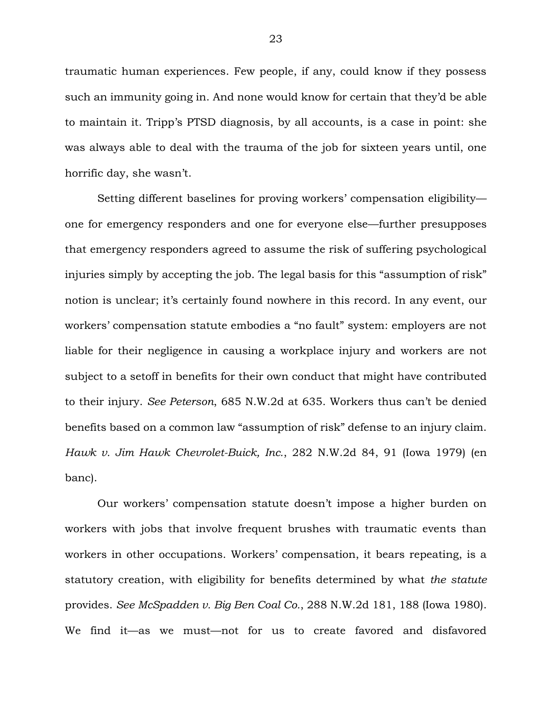traumatic human experiences. Few people, if any, could know if they possess such an immunity going in. And none would know for certain that they'd be able to maintain it. Tripp's PTSD diagnosis, by all accounts, is a case in point: she was always able to deal with the trauma of the job for sixteen years until, one horrific day, she wasn't.

Setting different baselines for proving workers' compensation eligibility one for emergency responders and one for everyone else—further presupposes that emergency responders agreed to assume the risk of suffering psychological injuries simply by accepting the job. The legal basis for this "assumption of risk" notion is unclear; it's certainly found nowhere in this record. In any event, our workers' compensation statute embodies a "no fault" system: employers are not liable for their negligence in causing a workplace injury and workers are not subject to a setoff in benefits for their own conduct that might have contributed to their injury. *See Peterson*, 685 N.W.2d at 635. Workers thus can't be denied benefits based on a common law "assumption of risk" defense to an injury claim. *Hawk v. Jim Hawk Chevrolet-Buick, Inc.*, 282 N.W.2d 84, 91 (Iowa 1979) (en banc).

Our workers' compensation statute doesn't impose a higher burden on workers with jobs that involve frequent brushes with traumatic events than workers in other occupations. Workers' compensation, it bears repeating, is a statutory creation, with eligibility for benefits determined by what *the statute* provides. *See McSpadden v. Big Ben Coal Co.*, 288 N.W.2d 181, 188 (Iowa 1980). We find it—as we must—not for us to create favored and disfavored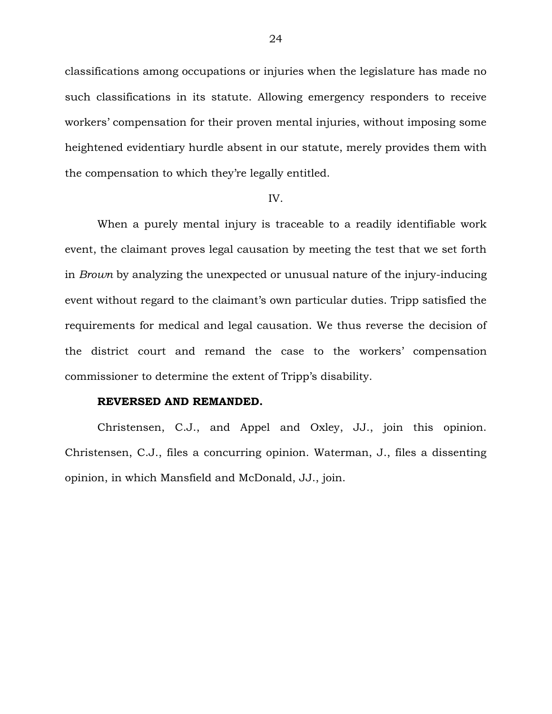classifications among occupations or injuries when the legislature has made no such classifications in its statute. Allowing emergency responders to receive workers' compensation for their proven mental injuries, without imposing some heightened evidentiary hurdle absent in our statute, merely provides them with the compensation to which they're legally entitled.

#### IV.

When a purely mental injury is traceable to a readily identifiable work event, the claimant proves legal causation by meeting the test that we set forth in *Brown* by analyzing the unexpected or unusual nature of the injury-inducing event without regard to the claimant's own particular duties. Tripp satisfied the requirements for medical and legal causation. We thus reverse the decision of the district court and remand the case to the workers' compensation commissioner to determine the extent of Tripp's disability.

## **REVERSED AND REMANDED.**

Christensen, C.J., and Appel and Oxley, JJ., join this opinion. Christensen, C.J., files a concurring opinion. Waterman, J., files a dissenting opinion, in which Mansfield and McDonald, JJ., join.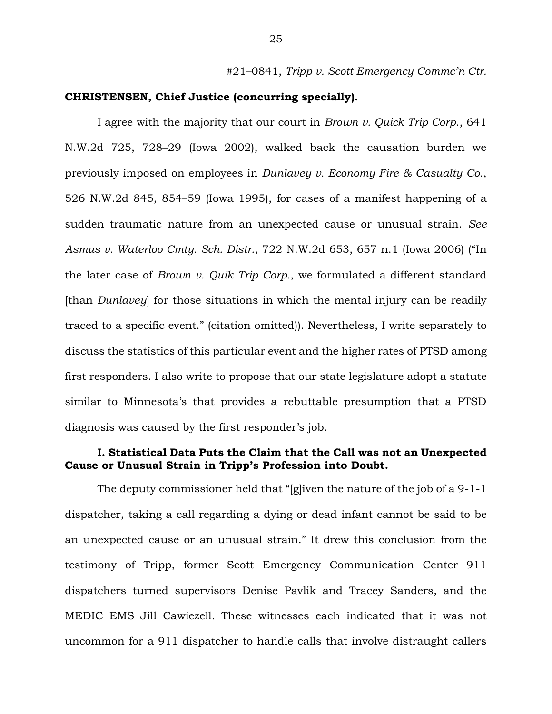#21–0841, *Tripp v. Scott Emergency Commc'n Ctr.*

### **CHRISTENSEN, Chief Justice (concurring specially).**

I agree with the majority that our court in *Brown v. Quick Trip Corp*., 641 N.W.2d 725, 728–29 (Iowa 2002), walked back the causation burden we previously imposed on employees in *Dunlavey v. Economy Fire & Casualty Co.*, 526 N.W.2d 845, 854–59 (Iowa 1995), for cases of a manifest happening of a sudden traumatic nature from an unexpected cause or unusual strain. *See Asmus v. Waterloo Cmty. Sch. Distr.*, 722 N.W.2d 653, 657 n.1 (Iowa 2006) ("In the later case of *Brown v. Quik Trip Corp.*, we formulated a different standard [than *Dunlavey*] for those situations in which the mental injury can be readily traced to a specific event." (citation omitted)). Nevertheless, I write separately to discuss the statistics of this particular event and the higher rates of PTSD among first responders. I also write to propose that our state legislature adopt a statute similar to Minnesota's that provides a rebuttable presumption that a PTSD diagnosis was caused by the first responder's job.

# **I. Statistical Data Puts the Claim that the Call was not an Unexpected Cause or Unusual Strain in Tripp's Profession into Doubt.**

The deputy commissioner held that "[g]iven the nature of the job of a 9-1-1 dispatcher, taking a call regarding a dying or dead infant cannot be said to be an unexpected cause or an unusual strain." It drew this conclusion from the testimony of Tripp, former Scott Emergency Communication Center 911 dispatchers turned supervisors Denise Pavlik and Tracey Sanders, and the MEDIC EMS Jill Cawiezell. These witnesses each indicated that it was not uncommon for a 911 dispatcher to handle calls that involve distraught callers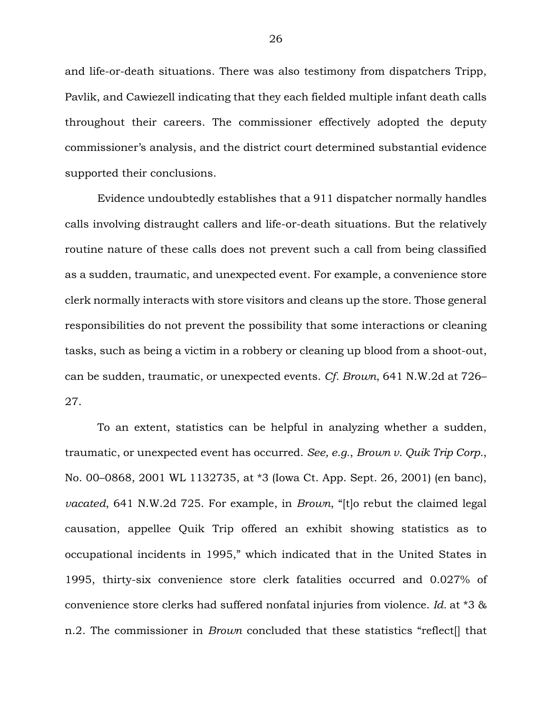and life-or-death situations. There was also testimony from dispatchers Tripp, Pavlik, and Cawiezell indicating that they each fielded multiple infant death calls throughout their careers. The commissioner effectively adopted the deputy commissioner's analysis, and the district court determined substantial evidence supported their conclusions.

Evidence undoubtedly establishes that a 911 dispatcher normally handles calls involving distraught callers and life-or-death situations. But the relatively routine nature of these calls does not prevent such a call from being classified as a sudden, traumatic, and unexpected event. For example, a convenience store clerk normally interacts with store visitors and cleans up the store. Those general responsibilities do not prevent the possibility that some interactions or cleaning tasks, such as being a victim in a robbery or cleaning up blood from a shoot-out, can be sudden, traumatic, or unexpected events. *Cf. Brown*, 641 N.W.2d at 726– 27.

To an extent, statistics can be helpful in analyzing whether a sudden, traumatic, or unexpected event has occurred. *See, e.g.*, *Brown v. Quik Trip Corp.*, No. 00–0868, 2001 WL 1132735, at \*3 (Iowa Ct. App. Sept. 26, 2001) (en banc), *vacated*, 641 N.W.2d 725. For example, in *Brown*, "[t]o rebut the claimed legal causation, appellee Quik Trip offered an exhibit showing statistics as to occupational incidents in 1995," which indicated that in the United States in 1995, thirty-six convenience store clerk fatalities occurred and 0.027% of convenience store clerks had suffered nonfatal injuries from violence. *Id.* at \*3 & n.2. The commissioner in *Brown* concluded that these statistics "reflect[] that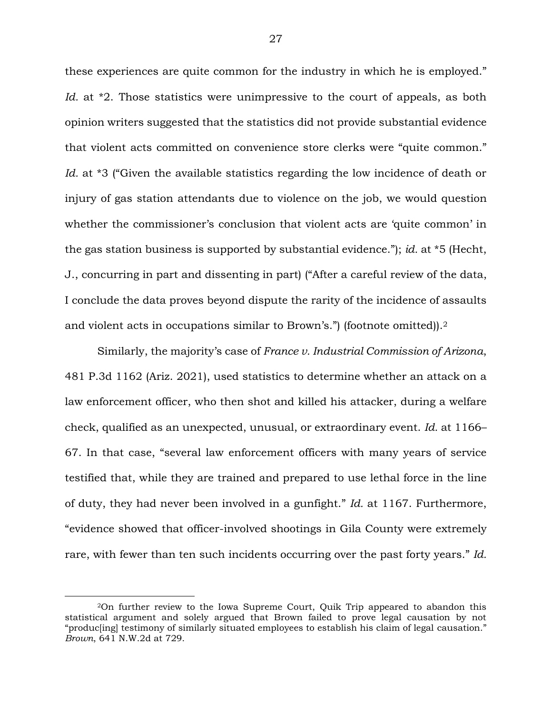these experiences are quite common for the industry in which he is employed." *Id.* at <sup>\*</sup>2. Those statistics were unimpressive to the court of appeals, as both opinion writers suggested that the statistics did not provide substantial evidence that violent acts committed on convenience store clerks were "quite common." *Id.* at \*3 ("Given the available statistics regarding the low incidence of death or injury of gas station attendants due to violence on the job, we would question whether the commissioner's conclusion that violent acts are 'quite common' in the gas station business is supported by substantial evidence."); *id.* at \*5 (Hecht, J., concurring in part and dissenting in part) ("After a careful review of the data, I conclude the data proves beyond dispute the rarity of the incidence of assaults and violent acts in occupations similar to Brown's.") (footnote omitted)).<sup>2</sup>

Similarly, the majority's case of *France v. Industrial Commission of Arizona*, 481 P.3d 1162 (Ariz. 2021), used statistics to determine whether an attack on a law enforcement officer, who then shot and killed his attacker, during a welfare check, qualified as an unexpected, unusual, or extraordinary event. *Id.* at 1166– 67. In that case, "several law enforcement officers with many years of service testified that, while they are trained and prepared to use lethal force in the line of duty, they had never been involved in a gunfight." *Id.* at 1167. Furthermore, "evidence showed that officer-involved shootings in Gila County were extremely rare, with fewer than ten such incidents occurring over the past forty years." *Id.*

 $\overline{a}$ 

<sup>2</sup>On further review to the Iowa Supreme Court, Quik Trip appeared to abandon this statistical argument and solely argued that Brown failed to prove legal causation by not "produc[ing] testimony of similarly situated employees to establish his claim of legal causation." *Brown*, 641 N.W.2d at 729.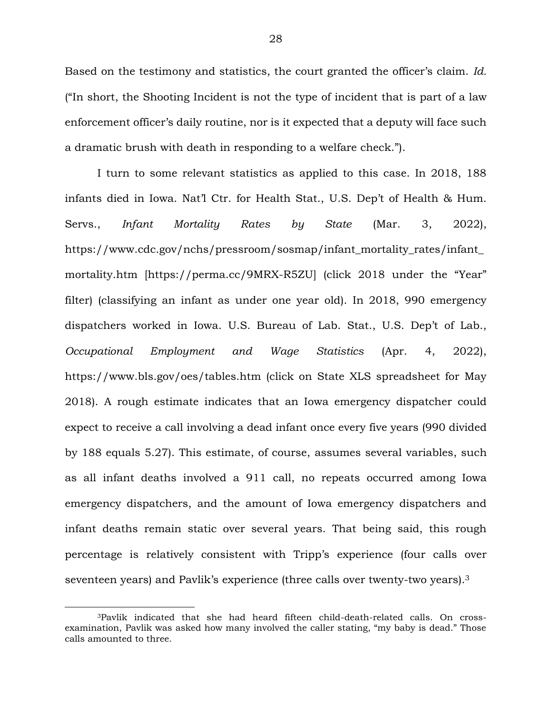Based on the testimony and statistics, the court granted the officer's claim. *Id.* ("In short, the Shooting Incident is not the type of incident that is part of a law enforcement officer's daily routine, nor is it expected that a deputy will face such a dramatic brush with death in responding to a welfare check.").

I turn to some relevant statistics as applied to this case. In 2018, 188 infants died in Iowa. Nat'l Ctr. for Health Stat., U.S. Dep't of Health & Hum. Servs., *Infant Mortality Rates by State* (Mar. 3, 2022), https://www.cdc.gov/nchs/pressroom/sosmap/infant\_mortality\_rates/infant\_ mortality.htm [https://perma.cc/9MRX-R5ZU] (click 2018 under the "Year" filter) (classifying an infant as under one year old). In 2018, 990 emergency dispatchers worked in Iowa. U.S. Bureau of Lab. Stat., U.S. Dep't of Lab., *Occupational Employment and Wage Statistics* (Apr. 4, 2022), https://www.bls.gov/oes/tables.htm (click on State XLS spreadsheet for May 2018). A rough estimate indicates that an Iowa emergency dispatcher could expect to receive a call involving a dead infant once every five years (990 divided by 188 equals 5.27). This estimate, of course, assumes several variables, such as all infant deaths involved a 911 call, no repeats occurred among Iowa emergency dispatchers, and the amount of Iowa emergency dispatchers and infant deaths remain static over several years. That being said, this rough percentage is relatively consistent with Tripp's experience (four calls over seventeen years) and Pavlik's experience (three calls over twenty-two years).<sup>3</sup>

 $\overline{a}$ 

<sup>3</sup>Pavlik indicated that she had heard fifteen child-death-related calls. On crossexamination, Pavlik was asked how many involved the caller stating, "my baby is dead." Those calls amounted to three.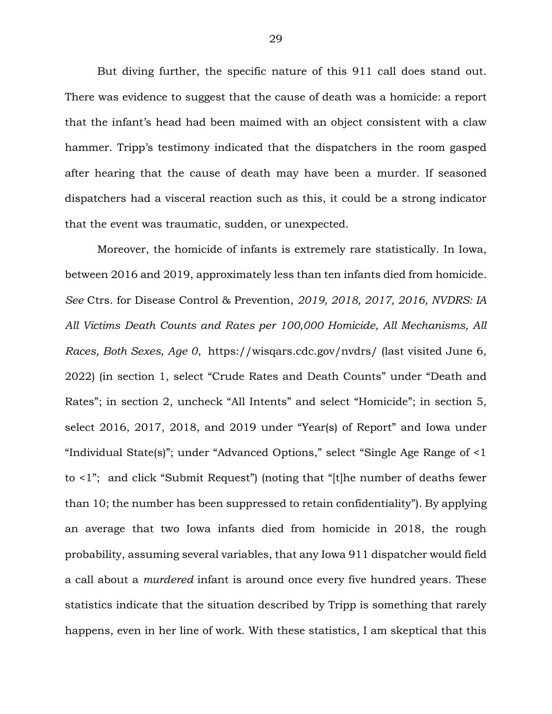But diving further, the specific nature of this 911 call does stand out. There was evidence to suggest that the cause of death was a homicide: a report that the infant's head had been maimed with an object consistent with a claw hammer. Tripp's testimony indicated that the dispatchers in the room gasped after hearing that the cause of death may have been a murder. If seasoned dispatchers had a visceral reaction such as this, it could be a strong indicator that the event was traumatic, sudden, or unexpected.

Moreover, the homicide of infants is extremely rare statistically. In Iowa, between 2016 and 2019, approximately less than ten infants died from homicide. *See* Ctrs. for Disease Control & Prevention, *2019, 2018, 2017, 2016, NVDRS: IA All Victims Death Counts and Rates per 100,000 Homicide, All Mechanisms, All Races, Both Sexes, Age 0*, https://wisqars.cdc.gov/nvdrs/ (last visited June 6, 2022) (in section 1, select "Crude Rates and Death Counts" under "Death and Rates"; in section 2, uncheck "All Intents" and select "Homicide"; in section 5, select 2016, 2017, 2018, and 2019 under "Year(s) of Report" and Iowa under "Individual State(s)"; under "Advanced Options," select "Single Age Range of <1 to <1"; and click "Submit Request") (noting that "[t]he number of deaths fewer than 10; the number has been suppressed to retain confidentiality"). By applying an average that two Iowa infants died from homicide in 2018, the rough probability, assuming several variables, that any Iowa 911 dispatcher would field a call about a *murdered* infant is around once every five hundred years. These statistics indicate that the situation described by Tripp is something that rarely happens, even in her line of work. With these statistics, I am skeptical that this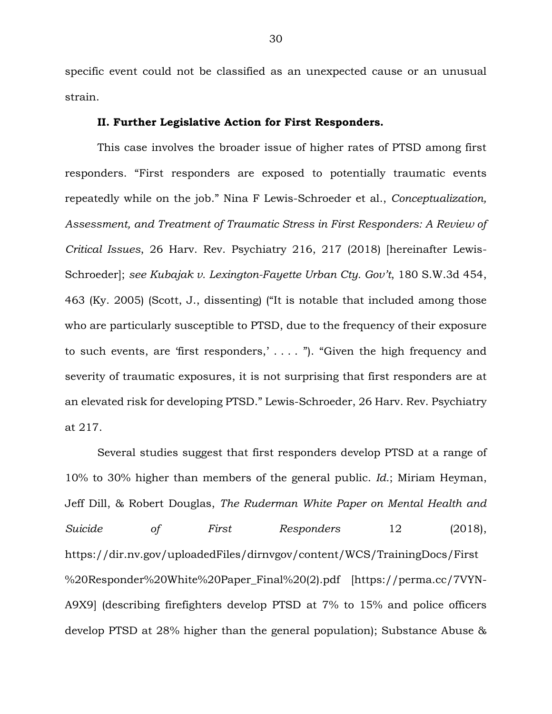specific event could not be classified as an unexpected cause or an unusual strain.

### **II. Further Legislative Action for First Responders.**

This case involves the broader issue of higher rates of PTSD among first responders. "First responders are exposed to potentially traumatic events repeatedly while on the job." Nina F Lewis-Schroeder et al., *Conceptualization, Assessment, and Treatment of Traumatic Stress in First Responders: A Review of Critical Issues*, 26 Harv. Rev. Psychiatry 216, 217 (2018) [hereinafter Lewis-Schroeder]; *see Kubajak v. Lexington-Fayette Urban Cty. Gov't*, 180 S.W.3d 454, 463 (Ky. 2005) (Scott, J., dissenting) ("It is notable that included among those who are particularly susceptible to PTSD, due to the frequency of their exposure to such events, are 'first responders,' . . . . "). "Given the high frequency and severity of traumatic exposures, it is not surprising that first responders are at an elevated risk for developing PTSD." Lewis-Schroeder, 26 Harv. Rev. Psychiatry at 217.

Several studies suggest that first responders develop PTSD at a range of 10% to 30% higher than members of the general public. *Id.*; Miriam Heyman, Jeff Dill, & Robert Douglas, *The Ruderman White Paper on Mental Health and Suicide of First Responders* 12 (2018), https://dir.nv.gov/uploadedFiles/dirnvgov/content/WCS/TrainingDocs/First %20Responder%20White%20Paper\_Final%20(2).pdf [https://perma.cc/7VYN-A9X9] (describing firefighters develop PTSD at 7% to 15% and police officers develop PTSD at 28% higher than the general population); Substance Abuse &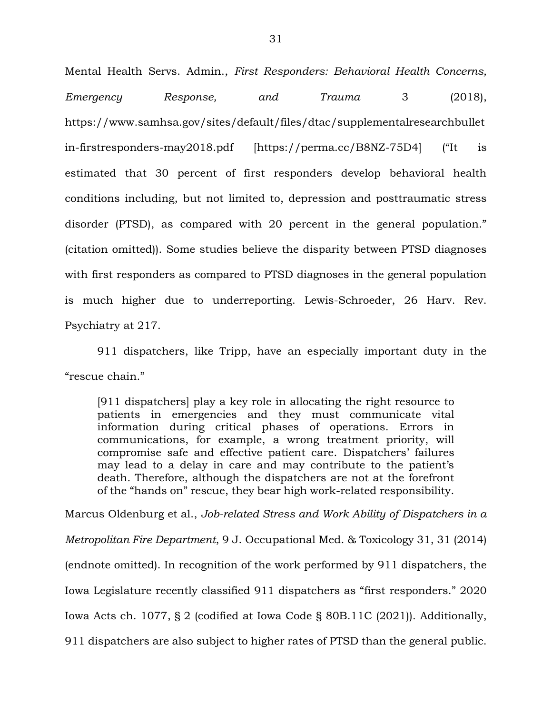Mental Health Servs. Admin., *First Responders: Behavioral Health Concerns, Emergency Response, and Trauma* 3 (2018), https://www.samhsa.gov/sites/default/files/dtac/supplementalresearchbullet in-firstresponders-may2018.pdf [https://perma.cc/B8NZ-75D4] ("It is estimated that 30 percent of first responders develop behavioral health conditions including, but not limited to, depression and posttraumatic stress disorder (PTSD), as compared with 20 percent in the general population." (citation omitted)). Some studies believe the disparity between PTSD diagnoses with first responders as compared to PTSD diagnoses in the general population is much higher due to underreporting. Lewis-Schroeder, 26 Harv. Rev. Psychiatry at 217.

911 dispatchers, like Tripp, have an especially important duty in the "rescue chain."

[911 dispatchers] play a key role in allocating the right resource to patients in emergencies and they must communicate vital information during critical phases of operations. Errors in communications, for example, a wrong treatment priority, will compromise safe and effective patient care. Dispatchers' failures may lead to a delay in care and may contribute to the patient's death. Therefore, although the dispatchers are not at the forefront of the "hands on" rescue, they bear high work-related responsibility.

Marcus Oldenburg et al., *Job-related Stress and Work Ability of Dispatchers in a Metropolitan Fire Department*, 9 J. Occupational Med. & Toxicology 31, 31 (2014) (endnote omitted). In recognition of the work performed by 911 dispatchers, the Iowa Legislature recently classified 911 dispatchers as "first responders." 2020 Iowa Acts ch. 1077, § 2 (codified at Iowa Code § 80B.11C (2021)). Additionally, 911 dispatchers are also subject to higher rates of PTSD than the general public.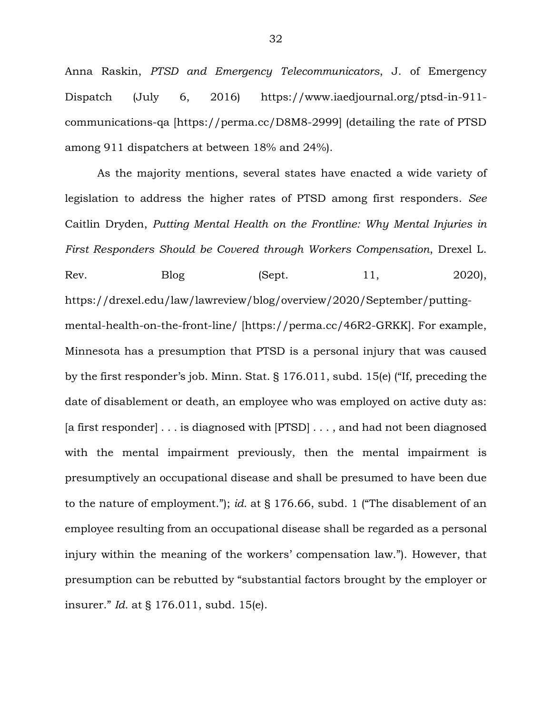Anna Raskin, *PTSD and Emergency Telecommunicators*, J. of Emergency Dispatch (July 6, 2016) https://www.iaedjournal.org/ptsd-in-911 communications-qa [https://perma.cc/D8M8-2999] (detailing the rate of PTSD among 911 dispatchers at between 18% and 24%).

As the majority mentions, several states have enacted a wide variety of legislation to address the higher rates of PTSD among first responders. *See* Caitlin Dryden, *Putting Mental Health on the Frontline: Why Mental Injuries in First Responders Should be Covered through Workers Compensation*, Drexel L. Rev. Blog (Sept. 11, 2020), https://drexel.edu/law/lawreview/blog/overview/2020/September/puttingmental-health-on-the-front-line/ [https://perma.cc/46R2-GRKK]. For example, Minnesota has a presumption that PTSD is a personal injury that was caused by the first responder's job. Minn. Stat. § 176.011, subd. 15(e) ("If, preceding the date of disablement or death, an employee who was employed on active duty as: [a first responder]  $\dots$  is diagnosed with [PTSD]  $\dots$ , and had not been diagnosed with the mental impairment previously, then the mental impairment is presumptively an occupational disease and shall be presumed to have been due to the nature of employment."); *id.* at § 176.66, subd. 1 ("The disablement of an employee resulting from an occupational disease shall be regarded as a personal injury within the meaning of the workers' compensation law."). However, that presumption can be rebutted by "substantial factors brought by the employer or insurer." *Id.* at § 176.011, subd. 15(e).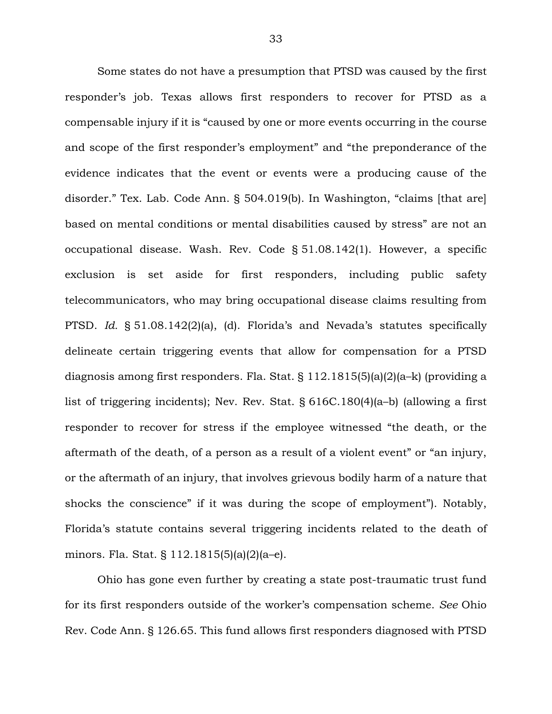Some states do not have a presumption that PTSD was caused by the first responder's job. Texas allows first responders to recover for PTSD as a compensable injury if it is "caused by one or more events occurring in the course and scope of the first responder's employment" and "the preponderance of the evidence indicates that the event or events were a producing cause of the disorder." Tex. Lab. Code Ann. § 504.019(b). In Washington, "claims [that are] based on mental conditions or mental disabilities caused by stress" are not an occupational disease. Wash. Rev. Code § 51.08.142(1). However, a specific exclusion is set aside for first responders, including public safety telecommunicators, who may bring occupational disease claims resulting from PTSD. *Id.* § 51.08.142(2)(a), (d). Florida's and Nevada's statutes specifically delineate certain triggering events that allow for compensation for a PTSD diagnosis among first responders. Fla. Stat. § 112.1815(5)(a)(2)(a–k) (providing a list of triggering incidents); Nev. Rev. Stat. § 616C.180(4)(a–b) (allowing a first responder to recover for stress if the employee witnessed "the death, or the aftermath of the death, of a person as a result of a violent event" or "an injury, or the aftermath of an injury, that involves grievous bodily harm of a nature that shocks the conscience" if it was during the scope of employment"). Notably, Florida's statute contains several triggering incidents related to the death of minors. Fla. Stat. § 112.1815(5)(a)(2)(a–e).

Ohio has gone even further by creating a state post-traumatic trust fund for its first responders outside of the worker's compensation scheme. *See* Ohio Rev. Code Ann. § 126.65. This fund allows first responders diagnosed with PTSD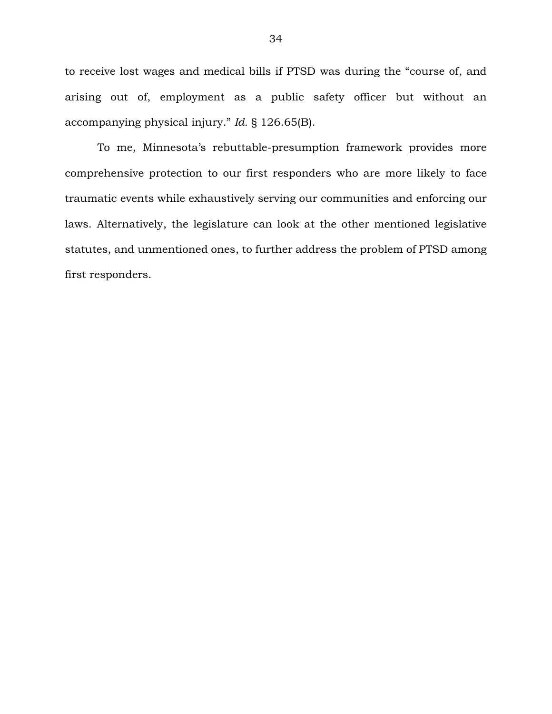to receive lost wages and medical bills if PTSD was during the "course of, and arising out of, employment as a public safety officer but without an accompanying physical injury." *Id.* § 126.65(B).

To me, Minnesota's rebuttable-presumption framework provides more comprehensive protection to our first responders who are more likely to face traumatic events while exhaustively serving our communities and enforcing our laws. Alternatively, the legislature can look at the other mentioned legislative statutes, and unmentioned ones, to further address the problem of PTSD among first responders.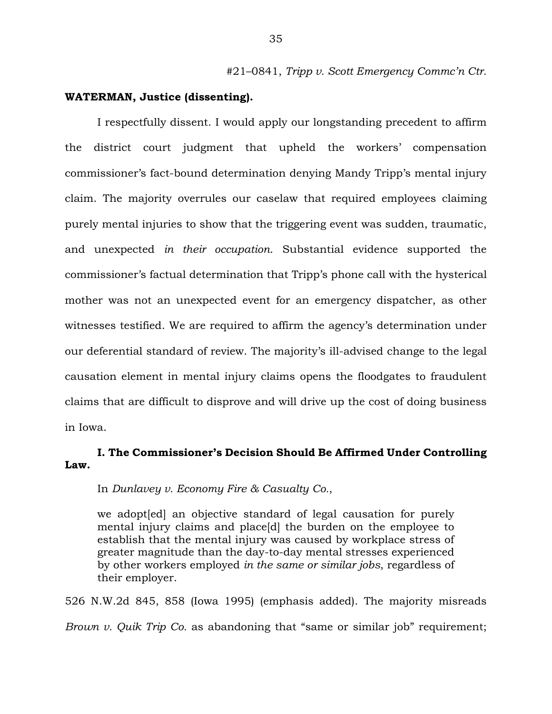#21–0841, *Tripp v. Scott Emergency Commc'n Ctr.*

### **WATERMAN, Justice (dissenting).**

I respectfully dissent. I would apply our longstanding precedent to affirm the district court judgment that upheld the workers' compensation commissioner's fact-bound determination denying Mandy Tripp's mental injury claim. The majority overrules our caselaw that required employees claiming purely mental injuries to show that the triggering event was sudden, traumatic, and unexpected *in their occupation*. Substantial evidence supported the commissioner's factual determination that Tripp's phone call with the hysterical mother was not an unexpected event for an emergency dispatcher, as other witnesses testified. We are required to affirm the agency's determination under our deferential standard of review. The majority's ill-advised change to the legal causation element in mental injury claims opens the floodgates to fraudulent claims that are difficult to disprove and will drive up the cost of doing business in Iowa.

# **I. The Commissioner's Decision Should Be Affirmed Under Controlling Law.**

In *Dunlavey v. Economy Fire & Casualty Co.*,

we adopt[ed] an objective standard of legal causation for purely mental injury claims and place[d] the burden on the employee to establish that the mental injury was caused by workplace stress of greater magnitude than the day-to-day mental stresses experienced by other workers employed *in the same or similar jobs*, regardless of their employer.

526 N.W.2d 845, 858 (Iowa 1995) (emphasis added). The majority misreads *Brown v. Quik Trip Co.* as abandoning that "same or similar job" requirement;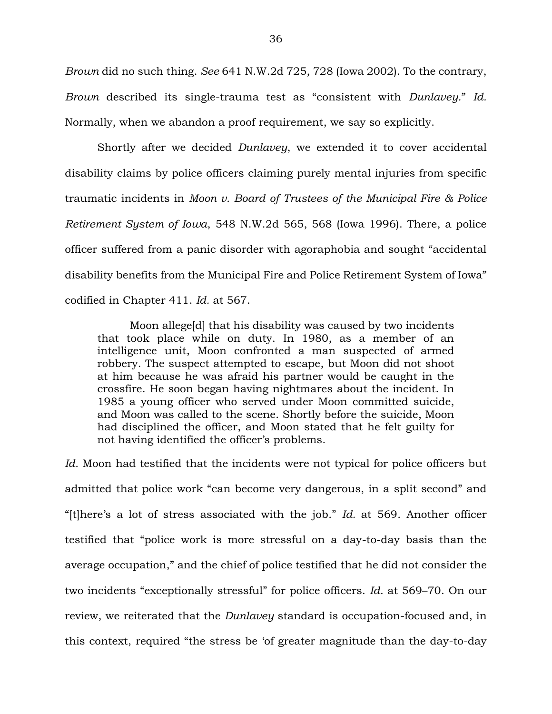*Brown* did no such thing. *See* 641 N.W.2d 725, 728 (Iowa 2002). To the contrary, *Brown* described its single-trauma test as "consistent with *Dunlavey.*" *Id.* Normally, when we abandon a proof requirement, we say so explicitly.

Shortly after we decided *Dunlavey*, we extended it to cover accidental disability claims by police officers claiming purely mental injuries from specific traumatic incidents in *Moon v. Board of Trustees of the Municipal Fire & Police Retirement System of Iowa*, 548 N.W.2d 565, 568 (Iowa 1996). There, a police officer suffered from a panic disorder with agoraphobia and sought "accidental disability benefits from the Municipal Fire and Police Retirement System of Iowa" codified in Chapter 411. *Id.* at 567.

Moon allege[d] that his disability was caused by two incidents that took place while on duty. In 1980, as a member of an intelligence unit, Moon confronted a man suspected of armed robbery. The suspect attempted to escape, but Moon did not shoot at him because he was afraid his partner would be caught in the crossfire. He soon began having nightmares about the incident. In 1985 a young officer who served under Moon committed suicide, and Moon was called to the scene. Shortly before the suicide, Moon had disciplined the officer, and Moon stated that he felt guilty for not having identified the officer's problems.

*Id.* Moon had testified that the incidents were not typical for police officers but admitted that police work "can become very dangerous, in a split second" and "[t]here's a lot of stress associated with the job." *Id.* at 569. Another officer testified that "police work is more stressful on a day-to-day basis than the average occupation," and the chief of police testified that he did not consider the two incidents "exceptionally stressful" for police officers. *Id.* at 569–70. On our review, we reiterated that the *Dunlavey* standard is occupation-focused and, in this context, required "the stress be 'of greater magnitude than the day-to-day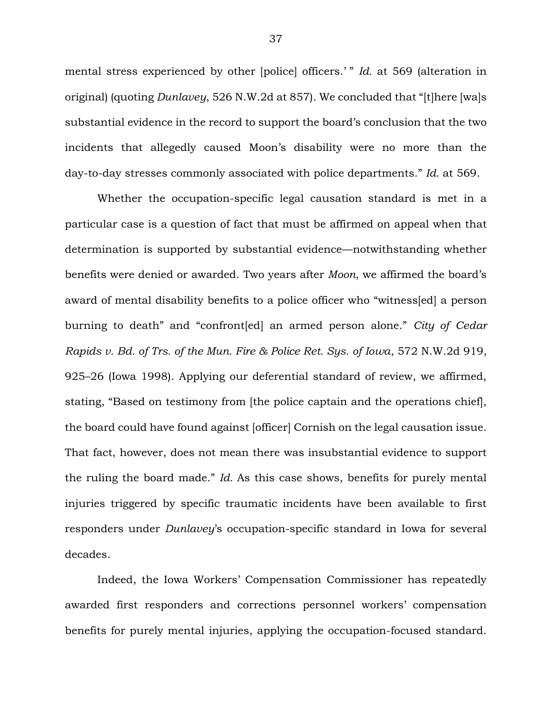mental stress experienced by other [police] officers.' " *Id.* at 569 (alteration in original) (quoting *Dunlavey*, 526 N.W.2d at 857). We concluded that "[t]here [wa]s substantial evidence in the record to support the board's conclusion that the two incidents that allegedly caused Moon's disability were no more than the day-to-day stresses commonly associated with police departments." *Id.* at 569.

Whether the occupation-specific legal causation standard is met in a particular case is a question of fact that must be affirmed on appeal when that determination is supported by substantial evidence—notwithstanding whether benefits were denied or awarded. Two years after *Moon*, we affirmed the board's award of mental disability benefits to a police officer who "witness[ed] a person burning to death" and "confront[ed] an armed person alone." *City of Cedar Rapids v. Bd. of Trs. of the Mun. Fire & Police Ret. Sys. of Iowa*, 572 N.W.2d 919, 925–26 (Iowa 1998). Applying our deferential standard of review, we affirmed, stating, "Based on testimony from [the police captain and the operations chief], the board could have found against [officer] Cornish on the legal causation issue. That fact, however, does not mean there was insubstantial evidence to support the ruling the board made." *Id.* As this case shows, benefits for purely mental injuries triggered by specific traumatic incidents have been available to first responders under *Dunlavey*'s occupation-specific standard in Iowa for several decades.

Indeed, the Iowa Workers' Compensation Commissioner has repeatedly awarded first responders and corrections personnel workers' compensation benefits for purely mental injuries, applying the occupation-focused standard.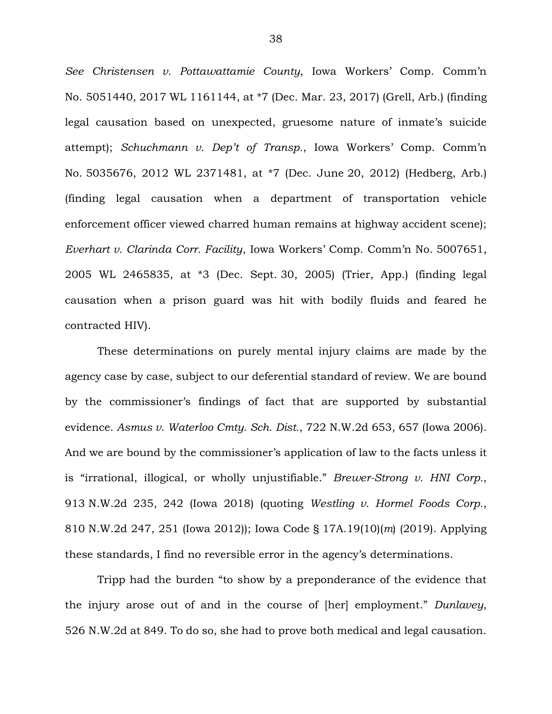*See Christensen v. Pottawattamie County*, Iowa Workers' Comp. Comm'n No. 5051440, 2017 WL 1161144, at \*7 (Dec. Mar. 23, 2017) (Grell, Arb.) (finding legal causation based on unexpected, gruesome nature of inmate's suicide attempt); *Schuchmann v. Dep't of Transp.*, Iowa Workers' Comp. Comm'n No. 5035676, 2012 WL 2371481, at \*7 (Dec. June 20, 2012) (Hedberg, Arb.) (finding legal causation when a department of transportation vehicle enforcement officer viewed charred human remains at highway accident scene); *Everhart v. Clarinda Corr. Facility*, Iowa Workers' Comp. Comm'n No. 5007651, 2005 WL 2465835, at \*3 (Dec. Sept. 30, 2005) (Trier, App.) (finding legal causation when a prison guard was hit with bodily fluids and feared he contracted HIV).

These determinations on purely mental injury claims are made by the agency case by case, subject to our deferential standard of review. We are bound by the commissioner's findings of fact that are supported by substantial evidence. *Asmus v. Waterloo Cmty. Sch. Dist.*, 722 N.W.2d 653, 657 (Iowa 2006). And we are bound by the commissioner's application of law to the facts unless it is "irrational, illogical, or wholly unjustifiable." *Brewer-Strong v. HNI Corp.*, 913 N.W.2d 235, 242 (Iowa 2018) (quoting *Westling v. Hormel Foods Corp.*, 810 N.W.2d 247, 251 (Iowa 2012)); Iowa Code § 17A.19(10)(*m*) (2019). Applying these standards, I find no reversible error in the agency's determinations.

Tripp had the burden "to show by a preponderance of the evidence that the injury arose out of and in the course of [her] employment." *Dunlavey*, 526 N.W.2d at 849. To do so, she had to prove both medical and legal causation.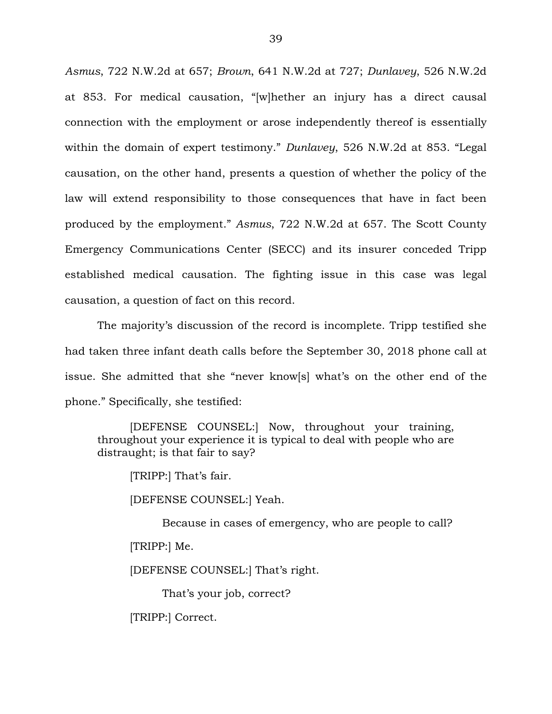*Asmus*, 722 N.W.2d at 657; *Brown*, 641 N.W.2d at 727; *Dunlavey*, 526 N.W.2d at 853. For medical causation, "[w]hether an injury has a direct causal connection with the employment or arose independently thereof is essentially within the domain of expert testimony." *Dunlavey*, 526 N.W.2d at 853. "Legal causation, on the other hand, presents a question of whether the policy of the law will extend responsibility to those consequences that have in fact been produced by the employment." *Asmus*, 722 N.W.2d at 657. The Scott County Emergency Communications Center (SECC) and its insurer conceded Tripp established medical causation. The fighting issue in this case was legal causation, a question of fact on this record.

The majority's discussion of the record is incomplete. Tripp testified she had taken three infant death calls before the September 30, 2018 phone call at issue. She admitted that she "never know[s] what's on the other end of the phone." Specifically, she testified:

[DEFENSE COUNSEL:] Now, throughout your training, throughout your experience it is typical to deal with people who are distraught; is that fair to say?

[TRIPP:] That's fair.

[DEFENSE COUNSEL:] Yeah.

Because in cases of emergency, who are people to call? [TRIPP:] Me. [DEFENSE COUNSEL:] That's right.

That's your job, correct?

[TRIPP:] Correct.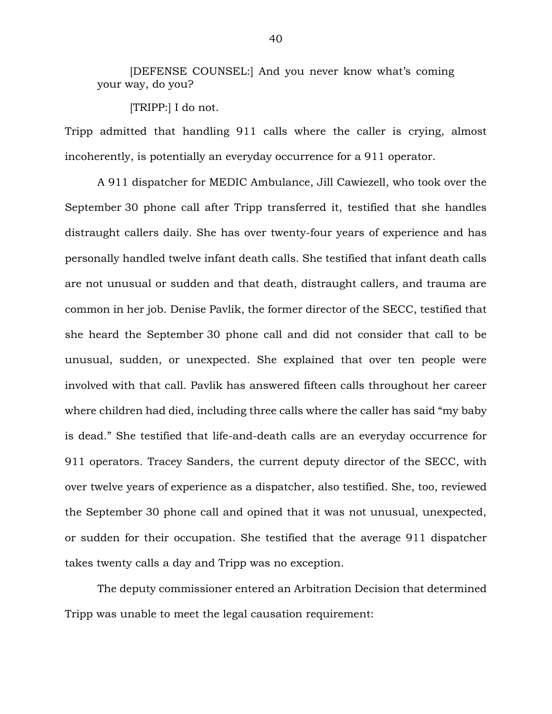[DEFENSE COUNSEL:] And you never know what's coming your way, do you?

[TRIPP:] I do not.

Tripp admitted that handling 911 calls where the caller is crying, almost incoherently, is potentially an everyday occurrence for a 911 operator.

A 911 dispatcher for MEDIC Ambulance, Jill Cawiezell, who took over the September 30 phone call after Tripp transferred it, testified that she handles distraught callers daily. She has over twenty-four years of experience and has personally handled twelve infant death calls. She testified that infant death calls are not unusual or sudden and that death, distraught callers, and trauma are common in her job. Denise Pavlik, the former director of the SECC, testified that she heard the September 30 phone call and did not consider that call to be unusual, sudden, or unexpected. She explained that over ten people were involved with that call. Pavlik has answered fifteen calls throughout her career where children had died, including three calls where the caller has said "my baby is dead." She testified that life-and-death calls are an everyday occurrence for 911 operators. Tracey Sanders, the current deputy director of the SECC, with over twelve years of experience as a dispatcher, also testified. She, too, reviewed the September 30 phone call and opined that it was not unusual, unexpected, or sudden for their occupation. She testified that the average 911 dispatcher takes twenty calls a day and Tripp was no exception.

The deputy commissioner entered an Arbitration Decision that determined Tripp was unable to meet the legal causation requirement: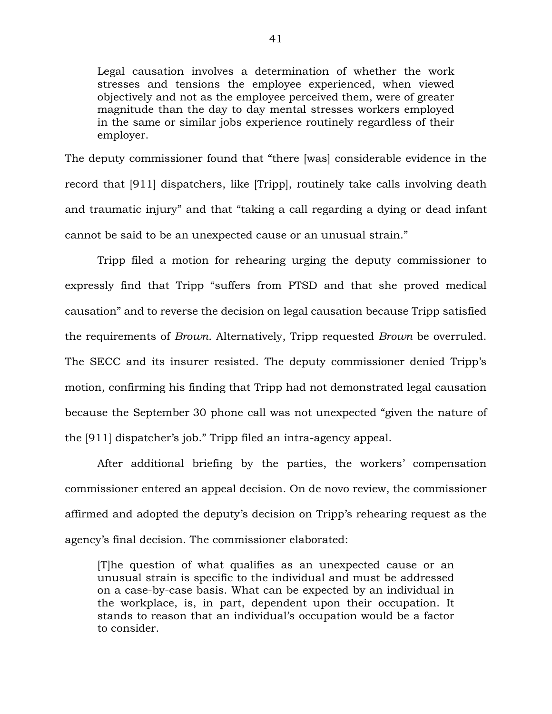Legal causation involves a determination of whether the work stresses and tensions the employee experienced, when viewed objectively and not as the employee perceived them, were of greater magnitude than the day to day mental stresses workers employed in the same or similar jobs experience routinely regardless of their employer.

The deputy commissioner found that "there [was] considerable evidence in the record that [911] dispatchers, like [Tripp], routinely take calls involving death and traumatic injury" and that "taking a call regarding a dying or dead infant cannot be said to be an unexpected cause or an unusual strain."

Tripp filed a motion for rehearing urging the deputy commissioner to expressly find that Tripp "suffers from PTSD and that she proved medical causation" and to reverse the decision on legal causation because Tripp satisfied the requirements of *Brown*. Alternatively, Tripp requested *Brown* be overruled. The SECC and its insurer resisted. The deputy commissioner denied Tripp's motion, confirming his finding that Tripp had not demonstrated legal causation because the September 30 phone call was not unexpected "given the nature of the [911] dispatcher's job." Tripp filed an intra-agency appeal.

After additional briefing by the parties, the workers' compensation commissioner entered an appeal decision. On de novo review, the commissioner affirmed and adopted the deputy's decision on Tripp's rehearing request as the agency's final decision. The commissioner elaborated:

[T]he question of what qualifies as an unexpected cause or an unusual strain is specific to the individual and must be addressed on a case-by-case basis. What can be expected by an individual in the workplace, is, in part, dependent upon their occupation. It stands to reason that an individual's occupation would be a factor to consider.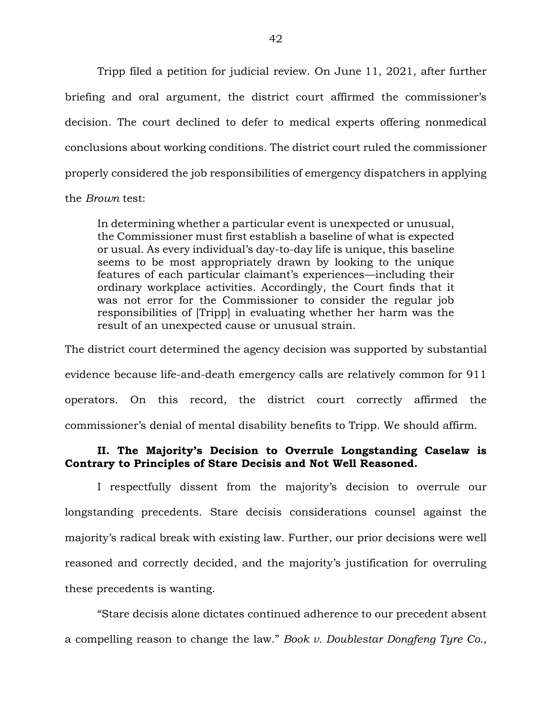Tripp filed a petition for judicial review. On June 11, 2021, after further briefing and oral argument, the district court affirmed the commissioner's decision. The court declined to defer to medical experts offering nonmedical conclusions about working conditions. The district court ruled the commissioner properly considered the job responsibilities of emergency dispatchers in applying

the *Brown* test:

In determining whether a particular event is unexpected or unusual, the Commissioner must first establish a baseline of what is expected or usual. As every individual's day-to-day life is unique, this baseline seems to be most appropriately drawn by looking to the unique features of each particular claimant's experiences—including their ordinary workplace activities. Accordingly, the Court finds that it was not error for the Commissioner to consider the regular job responsibilities of [Tripp] in evaluating whether her harm was the result of an unexpected cause or unusual strain.

The district court determined the agency decision was supported by substantial evidence because life-and-death emergency calls are relatively common for 911 operators. On this record, the district court correctly affirmed the commissioner's denial of mental disability benefits to Tripp. We should affirm.

# **II. The Majority's Decision to Overrule Longstanding Caselaw is Contrary to Principles of Stare Decisis and Not Well Reasoned.**

I respectfully dissent from the majority's decision to overrule our longstanding precedents. Stare decisis considerations counsel against the majority's radical break with existing law. Further, our prior decisions were well reasoned and correctly decided, and the majority's justification for overruling these precedents is wanting.

"Stare decisis alone dictates continued adherence to our precedent absent a compelling reason to change the law." *Book v. Doublestar Dongfeng Tyre Co.*,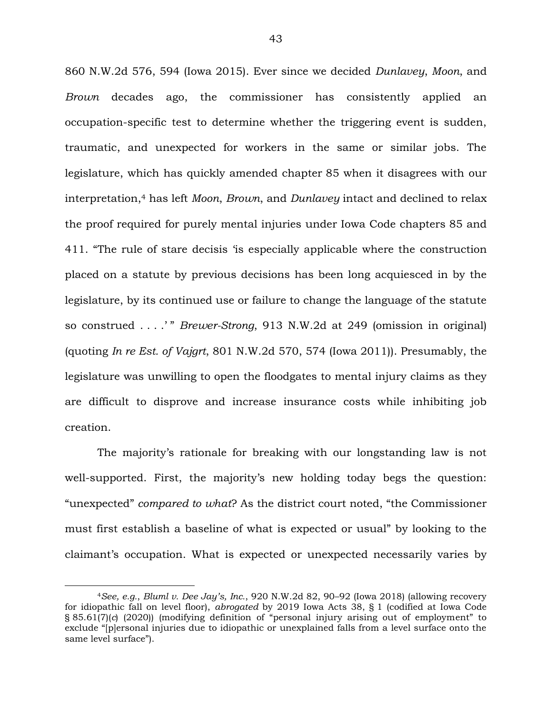860 N.W.2d 576, 594 (Iowa 2015). Ever since we decided *Dunlavey*, *Moon*, and *Brown* decades ago, the commissioner has consistently applied an occupation-specific test to determine whether the triggering event is sudden, traumatic, and unexpected for workers in the same or similar jobs. The legislature, which has quickly amended chapter 85 when it disagrees with our interpretation,<sup>4</sup> has left *Moon*, *Brown*, and *Dunlavey* intact and declined to relax the proof required for purely mental injuries under Iowa Code chapters 85 and 411. "The rule of stare decisis 'is especially applicable where the construction placed on a statute by previous decisions has been long acquiesced in by the legislature, by its continued use or failure to change the language of the statute so construed . . . .' " *Brewer-Strong*, 913 N.W.2d at 249 (omission in original) (quoting *In re Est. of Vajgrt*, 801 N.W.2d 570, 574 (Iowa 2011)). Presumably, the legislature was unwilling to open the floodgates to mental injury claims as they are difficult to disprove and increase insurance costs while inhibiting job creation.

The majority's rationale for breaking with our longstanding law is not well-supported. First, the majority's new holding today begs the question: "unexpected" *compared to what*? As the district court noted, "the Commissioner must first establish a baseline of what is expected or usual" by looking to the claimant's occupation. What is expected or unexpected necessarily varies by

 $\overline{a}$ 

<sup>4</sup>*See, e.g.*, *Bluml v. Dee Jay's, Inc.*, 920 N.W.2d 82, 90–92 (Iowa 2018) (allowing recovery for idiopathic fall on level floor), *abrogated* by 2019 Iowa Acts 38, § 1 (codified at Iowa Code § 85.61(7)(*c*) (2020)) (modifying definition of "personal injury arising out of employment" to exclude "[p]ersonal injuries due to idiopathic or unexplained falls from a level surface onto the same level surface").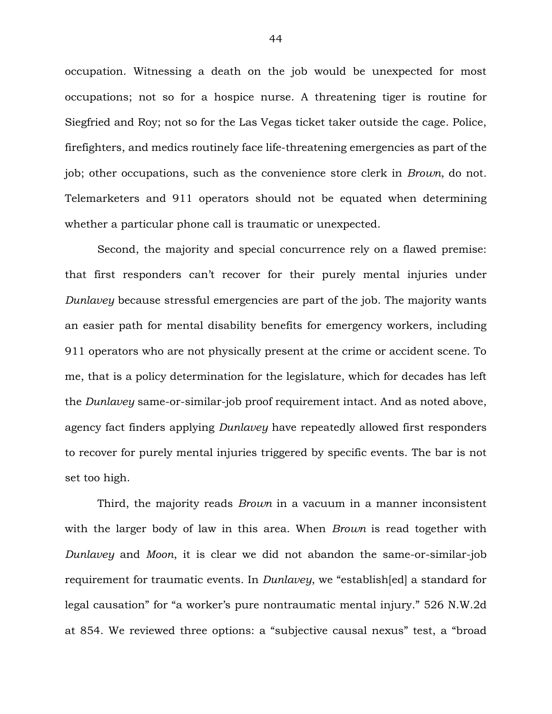occupation. Witnessing a death on the job would be unexpected for most occupations; not so for a hospice nurse. A threatening tiger is routine for Siegfried and Roy; not so for the Las Vegas ticket taker outside the cage. Police, firefighters, and medics routinely face life-threatening emergencies as part of the job; other occupations, such as the convenience store clerk in *Brown*, do not*.*  Telemarketers and 911 operators should not be equated when determining whether a particular phone call is traumatic or unexpected.

Second, the majority and special concurrence rely on a flawed premise: that first responders can't recover for their purely mental injuries under *Dunlavey* because stressful emergencies are part of the job. The majority wants an easier path for mental disability benefits for emergency workers, including 911 operators who are not physically present at the crime or accident scene. To me, that is a policy determination for the legislature, which for decades has left the *Dunlavey* same-or-similar-job proof requirement intact. And as noted above, agency fact finders applying *Dunlavey* have repeatedly allowed first responders to recover for purely mental injuries triggered by specific events. The bar is not set too high.

Third, the majority reads *Brown* in a vacuum in a manner inconsistent with the larger body of law in this area. When *Brown* is read together with *Dunlavey* and *Moon*, it is clear we did not abandon the same-or-similar-job requirement for traumatic events. In *Dunlavey*, we "establish[ed] a standard for legal causation" for "a worker's pure nontraumatic mental injury." 526 N.W.2d at 854. We reviewed three options: a "subjective causal nexus" test, a "broad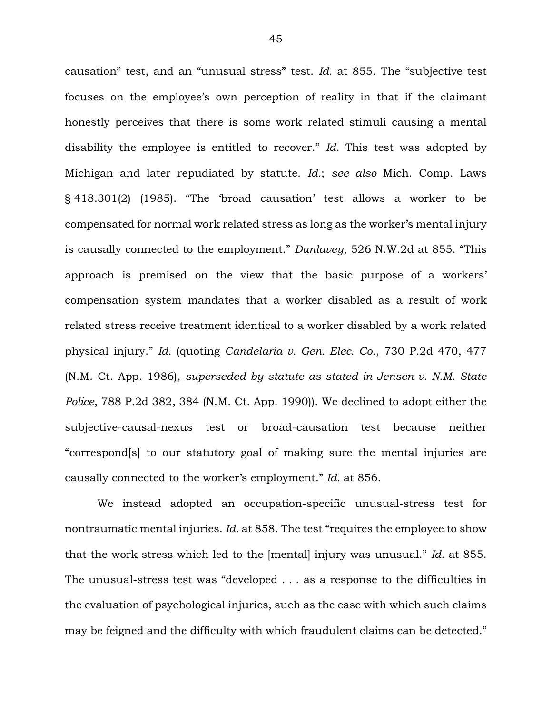causation" test, and an "unusual stress" test. *Id.* at 855. The "subjective test focuses on the employee's own perception of reality in that if the claimant honestly perceives that there is some work related stimuli causing a mental disability the employee is entitled to recover." *Id.* This test was adopted by Michigan and later repudiated by statute. *Id.*; *see also* Mich. Comp. Laws § 418.301(2) (1985). "The 'broad causation' test allows a worker to be compensated for normal work related stress as long as the worker's mental injury is causally connected to the employment." *Dunlavey*, 526 N.W.2d at 855. "This approach is premised on the view that the basic purpose of a workers' compensation system mandates that a worker disabled as a result of work related stress receive treatment identical to a worker disabled by a work related physical injury." *Id.* (quoting *Candelaria v. Gen. Elec. Co.*, 730 P.2d 470, 477 (N.M. Ct. App. 1986), *superseded by statute as stated in Jensen v. N.M. State Police*, 788 P.2d 382, 384 (N.M. Ct. App. 1990)). We declined to adopt either the subjective-causal-nexus test or broad-causation test because neither "correspond[s] to our statutory goal of making sure the mental injuries are causally connected to the worker's employment." *Id.* at 856.

We instead adopted an occupation-specific unusual-stress test for nontraumatic mental injuries. *Id.* at 858. The test "requires the employee to show that the work stress which led to the [mental] injury was unusual." *Id.* at 855. The unusual-stress test was "developed . . . as a response to the difficulties in the evaluation of psychological injuries, such as the ease with which such claims may be feigned and the difficulty with which fraudulent claims can be detected."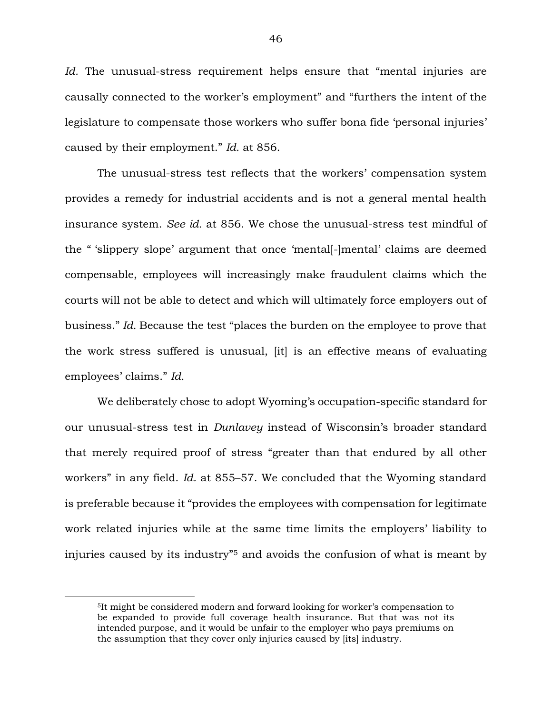*Id.* The unusual-stress requirement helps ensure that "mental injuries are causally connected to the worker's employment" and "furthers the intent of the legislature to compensate those workers who suffer bona fide 'personal injuries' caused by their employment." *Id.* at 856.

The unusual-stress test reflects that the workers' compensation system provides a remedy for industrial accidents and is not a general mental health insurance system. *See id.* at 856. We chose the unusual-stress test mindful of the " 'slippery slope' argument that once 'mental[-]mental' claims are deemed compensable, employees will increasingly make fraudulent claims which the courts will not be able to detect and which will ultimately force employers out of business." *Id.* Because the test "places the burden on the employee to prove that the work stress suffered is unusual, [it] is an effective means of evaluating employees' claims." *Id.*

We deliberately chose to adopt Wyoming's occupation-specific standard for our unusual-stress test in *Dunlavey* instead of Wisconsin's broader standard that merely required proof of stress "greater than that endured by all other workers" in any field. *Id.* at 855–57. We concluded that the Wyoming standard is preferable because it "provides the employees with compensation for legitimate work related injuries while at the same time limits the employers' liability to injuries caused by its industry"<sup>5</sup> and avoids the confusion of what is meant by

 $\overline{a}$ 

<sup>5</sup>It might be considered modern and forward looking for worker's compensation to be expanded to provide full coverage health insurance. But that was not its intended purpose, and it would be unfair to the employer who pays premiums on the assumption that they cover only injuries caused by [its] industry.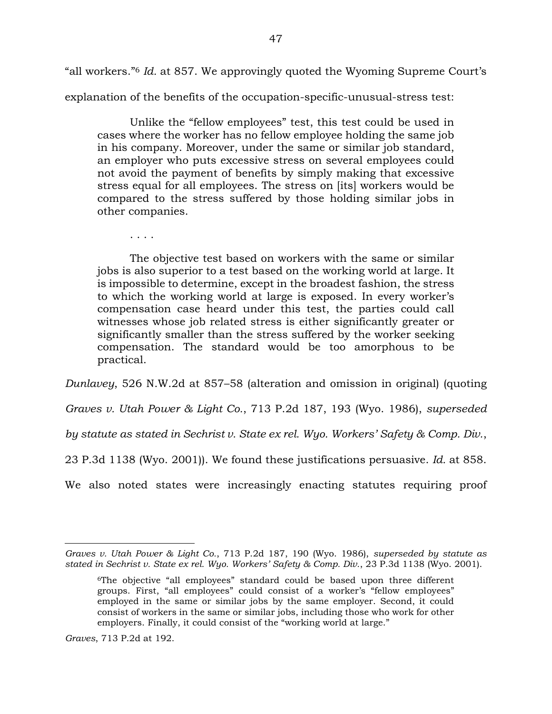"all workers."<sup>6</sup> *Id.* at 857. We approvingly quoted the Wyoming Supreme Court's

explanation of the benefits of the occupation-specific-unusual-stress test:

Unlike the "fellow employees" test, this test could be used in cases where the worker has no fellow employee holding the same job in his company. Moreover, under the same or similar job standard, an employer who puts excessive stress on several employees could not avoid the payment of benefits by simply making that excessive stress equal for all employees. The stress on [its] workers would be compared to the stress suffered by those holding similar jobs in other companies.

. . . .

The objective test based on workers with the same or similar jobs is also superior to a test based on the working world at large. It is impossible to determine, except in the broadest fashion, the stress to which the working world at large is exposed. In every worker's compensation case heard under this test, the parties could call witnesses whose job related stress is either significantly greater or significantly smaller than the stress suffered by the worker seeking compensation. The standard would be too amorphous to be practical.

*Dunlavey*, 526 N.W.2d at 857–58 (alteration and omission in original) (quoting

*Graves v. Utah Power & Light Co.*, 713 P.2d 187, 193 (Wyo. 1986), *superseded* 

*by statute as stated in Sechrist v. State ex rel. Wyo. Workers' Safety & Comp. Div.*,

23 P.3d 1138 (Wyo. 2001)). We found these justifications persuasive. *Id.* at 858.

We also noted states were increasingly enacting statutes requiring proof

*Graves*, 713 P.2d at 192.

 $\overline{a}$ 

*Graves v. Utah Power & Light Co.*, 713 P.2d 187, 190 (Wyo. 1986), *superseded by statute as stated in Sechrist v. State ex rel. Wyo. Workers' Safety & Comp. Div.*, 23 P.3d 1138 (Wyo. 2001).

<sup>6</sup>The objective "all employees" standard could be based upon three different groups. First, "all employees" could consist of a worker's "fellow employees" employed in the same or similar jobs by the same employer. Second, it could consist of workers in the same or similar jobs, including those who work for other employers. Finally, it could consist of the "working world at large."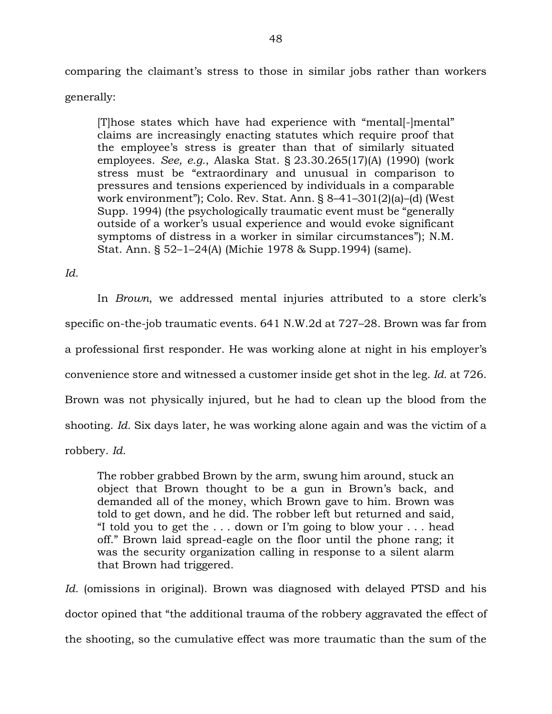comparing the claimant's stress to those in similar jobs rather than workers

generally:

[T]hose states which have had experience with "mental[-]mental" claims are increasingly enacting statutes which require proof that the employee's stress is greater than that of similarly situated employees. *See, e.g.*, Alaska Stat. § 23.30.265(17)(A) (1990) (work stress must be "extraordinary and unusual in comparison to pressures and tensions experienced by individuals in a comparable work environment"); Colo. Rev. Stat. Ann. § 8–41–301(2)(a)–(d) (West Supp. 1994) (the psychologically traumatic event must be "generally outside of a worker's usual experience and would evoke significant symptoms of distress in a worker in similar circumstances"); N.M. Stat. Ann. § 52–1–24(A) (Michie 1978 & Supp.1994) (same).

*Id.* 

In *Brown*, we addressed mental injuries attributed to a store clerk's specific on-the-job traumatic events. 641 N.W.2d at 727–28. Brown was far from a professional first responder. He was working alone at night in his employer's convenience store and witnessed a customer inside get shot in the leg. *Id.* at 726. Brown was not physically injured, but he had to clean up the blood from the shooting. *Id.* Six days later, he was working alone again and was the victim of a robbery. *Id.*

The robber grabbed Brown by the arm, swung him around, stuck an object that Brown thought to be a gun in Brown's back, and demanded all of the money, which Brown gave to him. Brown was told to get down, and he did. The robber left but returned and said, "I told you to get the . . . down or I'm going to blow your . . . head off." Brown laid spread-eagle on the floor until the phone rang; it was the security organization calling in response to a silent alarm that Brown had triggered.

*Id.* (omissions in original). Brown was diagnosed with delayed PTSD and his doctor opined that "the additional trauma of the robbery aggravated the effect of the shooting, so the cumulative effect was more traumatic than the sum of the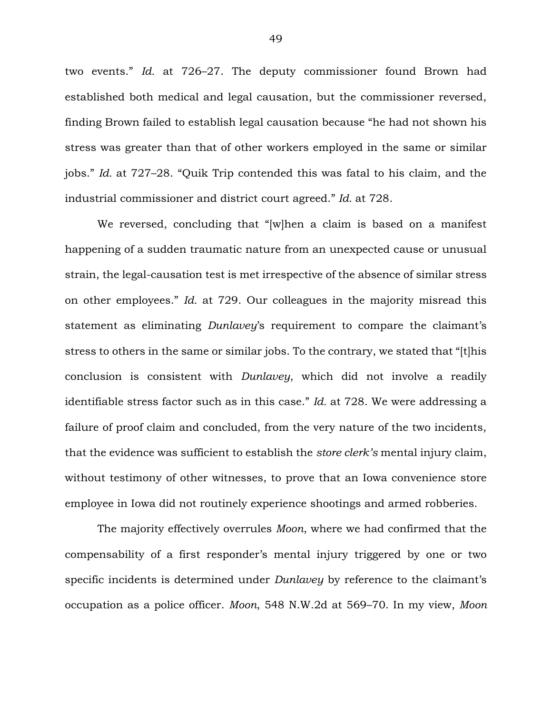two events." *Id.* at 726–27. The deputy commissioner found Brown had established both medical and legal causation, but the commissioner reversed, finding Brown failed to establish legal causation because "he had not shown his stress was greater than that of other workers employed in the same or similar jobs." *Id.* at 727–28. "Quik Trip contended this was fatal to his claim, and the industrial commissioner and district court agreed." *Id.* at 728.

We reversed, concluding that "[w]hen a claim is based on a manifest happening of a sudden traumatic nature from an unexpected cause or unusual strain, the legal-causation test is met irrespective of the absence of similar stress on other employees." *Id.* at 729. Our colleagues in the majority misread this statement as eliminating *Dunlavey*'s requirement to compare the claimant's stress to others in the same or similar jobs. To the contrary, we stated that "[t]his conclusion is consistent with *Dunlavey*, which did not involve a readily identifiable stress factor such as in this case." *Id.* at 728. We were addressing a failure of proof claim and concluded, from the very nature of the two incidents, that the evidence was sufficient to establish the *store clerk's* mental injury claim, without testimony of other witnesses, to prove that an Iowa convenience store employee in Iowa did not routinely experience shootings and armed robberies.

The majority effectively overrules *Moon*, where we had confirmed that the compensability of a first responder's mental injury triggered by one or two specific incidents is determined under *Dunlavey* by reference to the claimant's occupation as a police officer. *Moon*, 548 N.W.2d at 569–70. In my view, *Moon*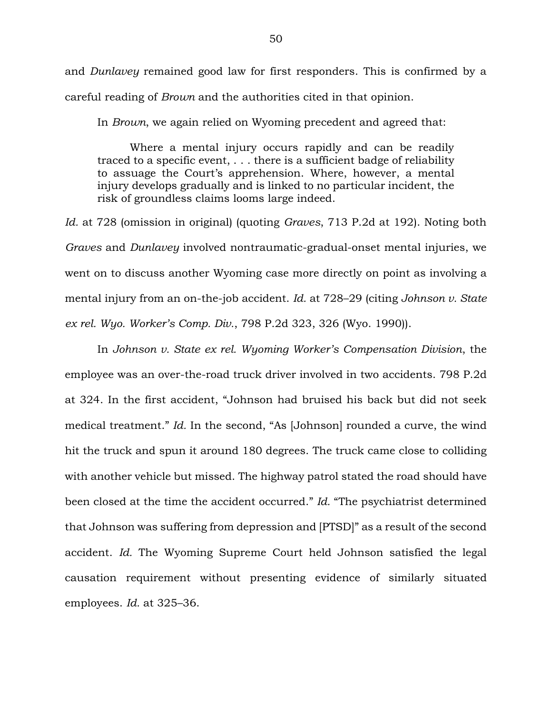and *Dunlavey* remained good law for first responders. This is confirmed by a careful reading of *Brown* and the authorities cited in that opinion.

In *Brown*, we again relied on Wyoming precedent and agreed that:

Where a mental injury occurs rapidly and can be readily traced to a specific event, . . . there is a sufficient badge of reliability to assuage the Court's apprehension. Where, however, a mental injury develops gradually and is linked to no particular incident, the risk of groundless claims looms large indeed.

*Id.* at 728 (omission in original) (quoting *Graves*, 713 P.2d at 192). Noting both *Graves* and *Dunlavey* involved nontraumatic-gradual-onset mental injuries, we went on to discuss another Wyoming case more directly on point as involving a mental injury from an on-the-job accident. *Id.* at 728–29 (citing *Johnson v. State ex rel. Wyo. Worker's Comp. Div.*, 798 P.2d 323, 326 (Wyo. 1990)).

In *Johnson v. State ex rel. Wyoming Worker's Compensation Division*, the employee was an over-the-road truck driver involved in two accidents. 798 P.2d at 324. In the first accident, "Johnson had bruised his back but did not seek medical treatment." *Id.* In the second, "As [Johnson] rounded a curve, the wind hit the truck and spun it around 180 degrees. The truck came close to colliding with another vehicle but missed. The highway patrol stated the road should have been closed at the time the accident occurred." *Id.* "The psychiatrist determined that Johnson was suffering from depression and [PTSD]" as a result of the second accident. *Id.* The Wyoming Supreme Court held Johnson satisfied the legal causation requirement without presenting evidence of similarly situated employees. *Id.* at 325–36.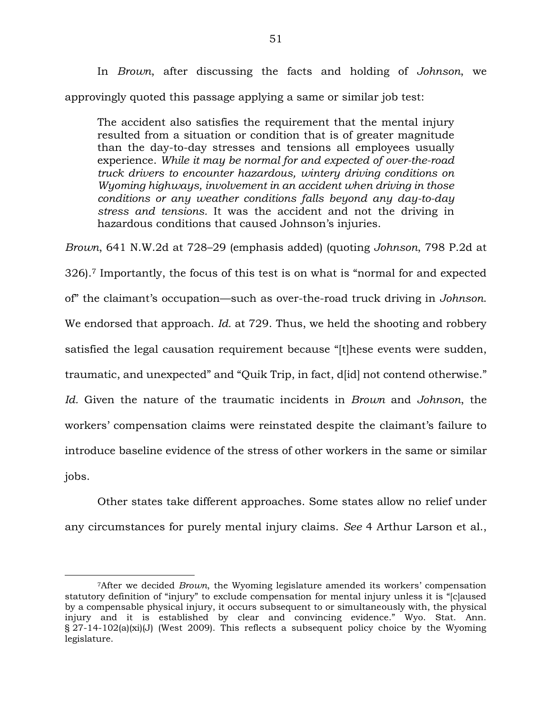In *Brown*, after discussing the facts and holding of *Johnson*, we approvingly quoted this passage applying a same or similar job test:

The accident also satisfies the requirement that the mental injury resulted from a situation or condition that is of greater magnitude than the day-to-day stresses and tensions all employees usually experience. *While it may be normal for and expected of over-the-road truck drivers to encounter hazardous, wintery driving conditions on Wyoming highways, involvement in an accident when driving in those conditions or any weather conditions falls beyond any day-to-day stress and tensions.* It was the accident and not the driving in hazardous conditions that caused Johnson's injuries.

*Brown*, 641 N.W.2d at 728–29 (emphasis added) (quoting *Johnson*, 798 P.2d at 326).<sup>7</sup> Importantly, the focus of this test is on what is "normal for and expected of" the claimant's occupation—such as over-the-road truck driving in *Johnson*. We endorsed that approach. *Id.* at 729. Thus, we held the shooting and robbery satisfied the legal causation requirement because "[t]hese events were sudden, traumatic, and unexpected" and "Quik Trip, in fact, d[id] not contend otherwise." *Id.* Given the nature of the traumatic incidents in *Brown* and *Johnson*, the workers' compensation claims were reinstated despite the claimant's failure to introduce baseline evidence of the stress of other workers in the same or similar jobs.

Other states take different approaches. Some states allow no relief under any circumstances for purely mental injury claims. *See* 4 Arthur Larson et al.,

 $\overline{a}$ 

<sup>7</sup>After we decided *Brown*, the Wyoming legislature amended its workers' compensation statutory definition of "injury" to exclude compensation for mental injury unless it is "[c]aused by a compensable physical injury, it occurs subsequent to or simultaneously with, the physical injury and it is established by clear and convincing evidence." Wyo. Stat. Ann.  $\S$  27-14-102(a)(xi)(J) (West 2009). This reflects a subsequent policy choice by the Wyoming legislature.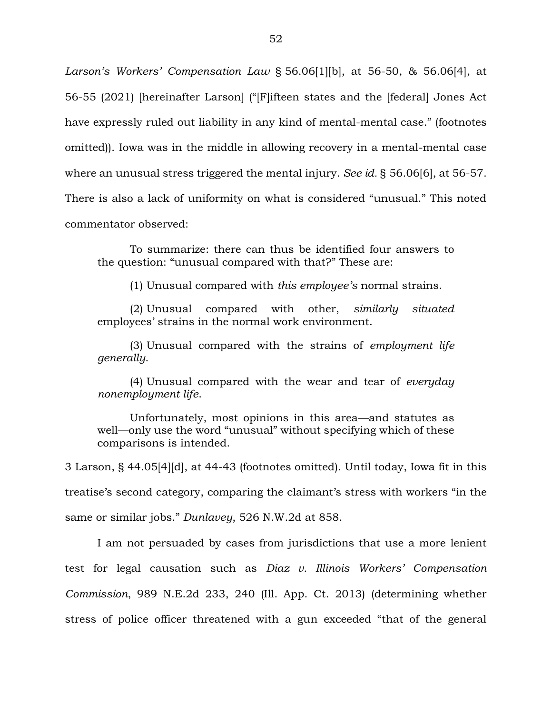*Larson's Workers' Compensation Law* § 56.06[1][b], at 56-50, & 56.06[4], at 56-55 (2021) [hereinafter Larson] ("[F]ifteen states and the [federal] Jones Act have expressly ruled out liability in any kind of mental-mental case." (footnotes omitted)). Iowa was in the middle in allowing recovery in a mental-mental case where an unusual stress triggered the mental injury. *See id.* § 56.06[6], at 56-57. There is also a lack of uniformity on what is considered "unusual." This noted commentator observed:

To summarize: there can thus be identified four answers to the question: "unusual compared with that?" These are:

(1) Unusual compared with *this employee's* normal strains.

(2) Unusual compared with other, *similarly situated*  employees' strains in the normal work environment.

(3) Unusual compared with the strains of *employment life generally*.

(4) Unusual compared with the wear and tear of *everyday nonemployment life*.

Unfortunately, most opinions in this area—and statutes as well—only use the word "unusual" without specifying which of these comparisons is intended.

3 Larson, § 44.05[4][d], at 44-43 (footnotes omitted). Until today, Iowa fit in this treatise's second category, comparing the claimant's stress with workers "in the same or similar jobs." *Dunlavey*, 526 N.W.2d at 858.

I am not persuaded by cases from jurisdictions that use a more lenient test for legal causation such as *Diaz v. Illinois Workers' Compensation Commission*, 989 N.E.2d 233, 240 (Ill. App. Ct. 2013) (determining whether stress of police officer threatened with a gun exceeded "that of the general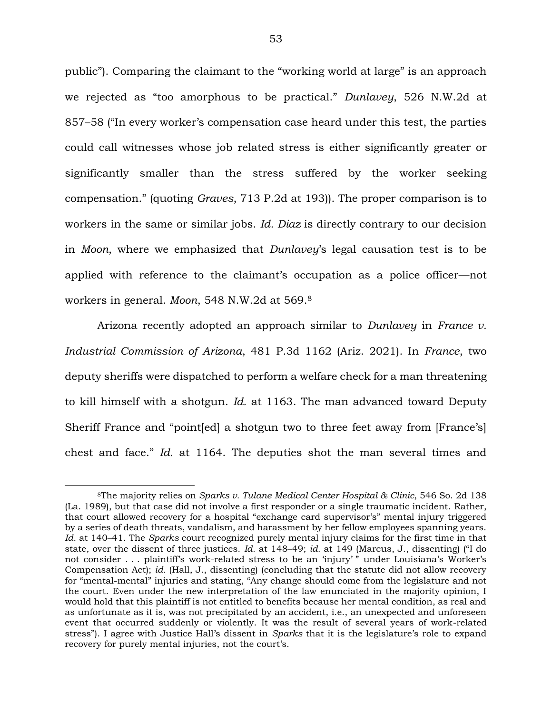public"). Comparing the claimant to the "working world at large" is an approach we rejected as "too amorphous to be practical." *Dunlavey*, 526 N.W.2d at 857–58 ("In every worker's compensation case heard under this test, the parties could call witnesses whose job related stress is either significantly greater or significantly smaller than the stress suffered by the worker seeking compensation." (quoting *Graves*, 713 P.2d at 193)). The proper comparison is to workers in the same or similar jobs. *Id. Diaz* is directly contrary to our decision in *Moon*, where we emphasized that *Dunlavey*'s legal causation test is to be applied with reference to the claimant's occupation as a police officer—not workers in general. *Moon*, 548 N.W.2d at 569.<sup>8</sup>

Arizona recently adopted an approach similar to *Dunlavey* in *France v. Industrial Commission of Arizona*, 481 P.3d 1162 (Ariz. 2021). In *France*, two deputy sheriffs were dispatched to perform a welfare check for a man threatening to kill himself with a shotgun. *Id.* at 1163. The man advanced toward Deputy Sheriff France and "point[ed] a shotgun two to three feet away from [France's] chest and face." *Id.* at 1164. The deputies shot the man several times and

 $\overline{a}$ 

<sup>8</sup>The majority relies on *Sparks v. Tulane Medical Center Hospital & Clinic*, 546 So. 2d 138 (La. 1989), but that case did not involve a first responder or a single traumatic incident. Rather, that court allowed recovery for a hospital "exchange card supervisor's" mental injury triggered by a series of death threats, vandalism, and harassment by her fellow employees spanning years. *Id.* at 140–41. The *Sparks* court recognized purely mental injury claims for the first time in that state, over the dissent of three justices. *Id.* at 148–49; *id.* at 149 (Marcus, J., dissenting) ("I do not consider . . . plaintiff's work-related stress to be an 'injury' " under Louisiana's Worker's Compensation Act); *id.* (Hall, J., dissenting) (concluding that the statute did not allow recovery for "mental-mental" injuries and stating, "Any change should come from the legislature and not the court. Even under the new interpretation of the law enunciated in the majority opinion, I would hold that this plaintiff is not entitled to benefits because her mental condition, as real and as unfortunate as it is, was not precipitated by an accident, i.e., an unexpected and unforeseen event that occurred suddenly or violently. It was the result of several years of work-related stress"). I agree with Justice Hall's dissent in *Sparks* that it is the legislature's role to expand recovery for purely mental injuries, not the court's.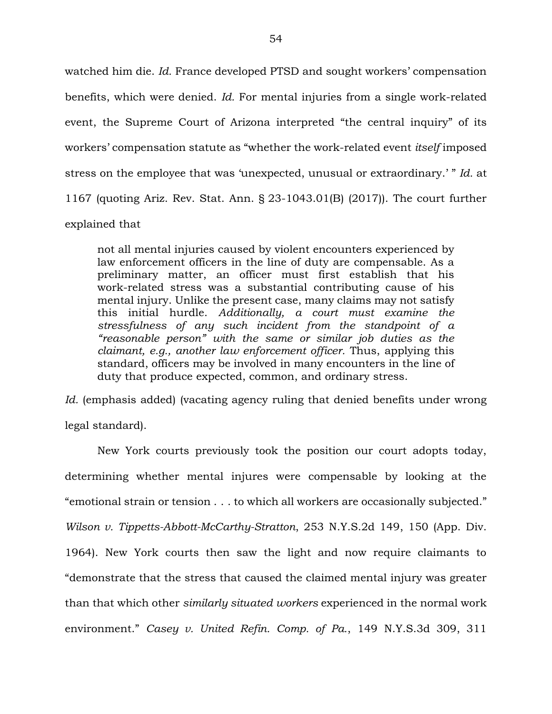watched him die. *Id.* France developed PTSD and sought workers' compensation benefits, which were denied. *Id.* For mental injuries from a single work-related event, the Supreme Court of Arizona interpreted "the central inquiry" of its workers' compensation statute as "whether the work-related event *itself* imposed stress on the employee that was 'unexpected, unusual or extraordinary.' " *Id.* at 1167 (quoting Ariz. Rev. Stat. Ann. § 23-1043.01(B) (2017)). The court further explained that

not all mental injuries caused by violent encounters experienced by law enforcement officers in the line of duty are compensable. As a preliminary matter, an officer must first establish that his work-related stress was a substantial contributing cause of his mental injury. Unlike the present case, many claims may not satisfy this initial hurdle. *Additionally, a court must examine the stressfulness of any such incident from the standpoint of a "reasonable person" with the same or similar job duties as the claimant, e.g., another law enforcement officer.* Thus, applying this standard, officers may be involved in many encounters in the line of duty that produce expected, common, and ordinary stress.

*Id.* (emphasis added) (vacating agency ruling that denied benefits under wrong legal standard).

New York courts previously took the position our court adopts today, determining whether mental injures were compensable by looking at the "emotional strain or tension . . . to which all workers are occasionally subjected." *Wilson v. Tippetts-Abbott-McCarthy-Stratton*, 253 N.Y.S.2d 149, 150 (App. Div. 1964). New York courts then saw the light and now require claimants to "demonstrate that the stress that caused the claimed mental injury was greater than that which other *similarly situated workers* experienced in the normal work environment." *Casey v. United Refin. Comp. of Pa.*, 149 N.Y.S.3d 309, 311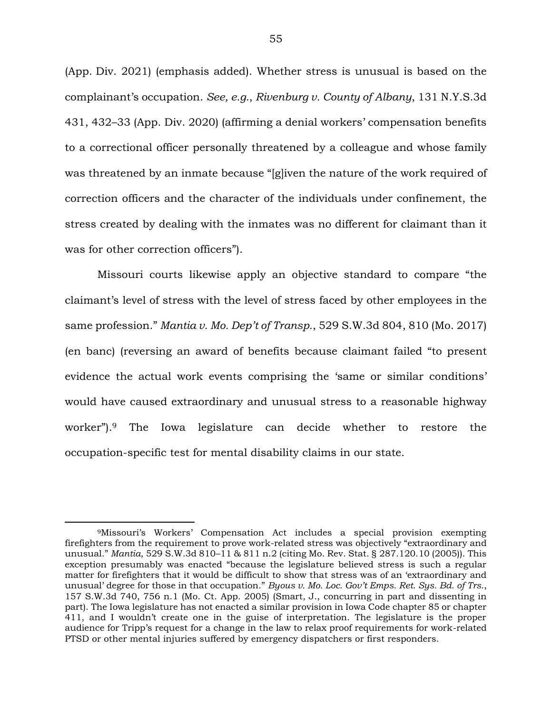(App. Div. 2021) (emphasis added). Whether stress is unusual is based on the complainant's occupation. *See, e.g.*, *Rivenburg v. County of Albany*, 131 N.Y.S.3d 431, 432–33 (App. Div. 2020) (affirming a denial workers' compensation benefits to a correctional officer personally threatened by a colleague and whose family was threatened by an inmate because "[g]iven the nature of the work required of correction officers and the character of the individuals under confinement, the stress created by dealing with the inmates was no different for claimant than it was for other correction officers").

Missouri courts likewise apply an objective standard to compare "the claimant's level of stress with the level of stress faced by other employees in the same profession." *Mantia v. Mo. Dep't of Transp.*, 529 S.W.3d 804, 810 (Mo. 2017) (en banc) (reversing an award of benefits because claimant failed "to present evidence the actual work events comprising the 'same or similar conditions' would have caused extraordinary and unusual stress to a reasonable highway worker").<sup>9</sup> The Iowa legislature can decide whether to restore the occupation-specific test for mental disability claims in our state.

 $\overline{a}$ 

<sup>9</sup>Missouri's Workers' Compensation Act includes a special provision exempting firefighters from the requirement to prove work-related stress was objectively "extraordinary and unusual." *Mantia*, 529 S.W.3d 810–11 & 811 n.2 (citing Mo. Rev. Stat. § 287.120.10 (2005)). This exception presumably was enacted "because the legislature believed stress is such a regular matter for firefighters that it would be difficult to show that stress was of an 'extraordinary and unusual' degree for those in that occupation." *Byous v. Mo. Loc. Gov't Emps. Ret. Sys. Bd. of Trs.*, 157 S.W.3d 740, 756 n.1 (Mo. Ct. App. 2005) (Smart, J., concurring in part and dissenting in part). The Iowa legislature has not enacted a similar provision in Iowa Code chapter 85 or chapter 411, and I wouldn't create one in the guise of interpretation. The legislature is the proper audience for Tripp's request for a change in the law to relax proof requirements for work-related PTSD or other mental injuries suffered by emergency dispatchers or first responders.